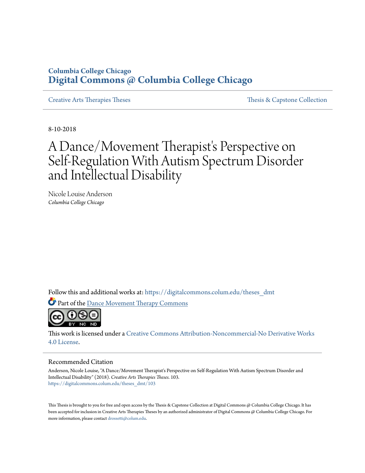# **Columbia College Chicago [Digital Commons @ Columbia College Chicago](https://digitalcommons.colum.edu?utm_source=digitalcommons.colum.edu%2Ftheses_dmt%2F103&utm_medium=PDF&utm_campaign=PDFCoverPages)**

[Creative Arts Therapies Theses](https://digitalcommons.colum.edu/theses_dmt?utm_source=digitalcommons.colum.edu%2Ftheses_dmt%2F103&utm_medium=PDF&utm_campaign=PDFCoverPages) [Thesis & Capstone Collection](https://digitalcommons.colum.edu/thesiscoll?utm_source=digitalcommons.colum.edu%2Ftheses_dmt%2F103&utm_medium=PDF&utm_campaign=PDFCoverPages)

8-10-2018

# A Dance/Movement Therapist's Perspective on Self-Regulation With Autism Spectrum Disorder and Intellectual Disability

Nicole Louise Anderson *Columbia College Chicago*

Follow this and additional works at: [https://digitalcommons.colum.edu/theses\\_dmt](https://digitalcommons.colum.edu/theses_dmt?utm_source=digitalcommons.colum.edu%2Ftheses_dmt%2F103&utm_medium=PDF&utm_campaign=PDFCoverPages)

Part of the [Dance Movement Therapy Commons](http://network.bepress.com/hgg/discipline/1150?utm_source=digitalcommons.colum.edu%2Ftheses_dmt%2F103&utm_medium=PDF&utm_campaign=PDFCoverPages)



This work is licensed under a [Creative Commons Attribution-Noncommercial-No Derivative Works](http://creativecommons.org/licenses/by-nc-nd/4.0/) [4.0 License.](http://creativecommons.org/licenses/by-nc-nd/4.0/)

#### Recommended Citation

Anderson, Nicole Louise, "A Dance/Movement Therapist's Perspective on Self-Regulation With Autism Spectrum Disorder and Intellectual Disability" (2018). *Creative Arts Therapies Theses*. 103. [https://digitalcommons.colum.edu/theses\\_dmt/103](https://digitalcommons.colum.edu/theses_dmt/103?utm_source=digitalcommons.colum.edu%2Ftheses_dmt%2F103&utm_medium=PDF&utm_campaign=PDFCoverPages)

This Thesis is brought to you for free and open access by the Thesis & Capstone Collection at Digital Commons @ Columbia College Chicago. It has been accepted for inclusion in Creative Arts Therapies Theses by an authorized administrator of Digital Commons @ Columbia College Chicago. For more information, please contact [drossetti@colum.edu.](mailto:drossetti@colum.edu)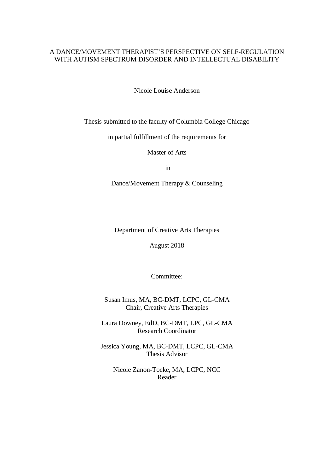### A DANCE/MOVEMENT THERAPIST'S PERSPECTIVE ON SELF-REGULATION WITH AUTISM SPECTRUM DISORDER AND INTELLECTUAL DISABILITY

Nicole Louise Anderson

Thesis submitted to the faculty of Columbia College Chicago

in partial fulfillment of the requirements for

Master of Arts

in

Dance/Movement Therapy & Counseling

Department of Creative Arts Therapies

August 2018

Committee:

Susan Imus, MA, BC-DMT, LCPC, GL-CMA Chair, Creative Arts Therapies

Laura Downey, EdD, BC-DMT, LPC, GL-CMA Research Coordinator

Jessica Young, MA, BC-DMT, LCPC, GL-CMA Thesis Advisor

Nicole Zanon-Tocke, MA, LCPC, NCC Reader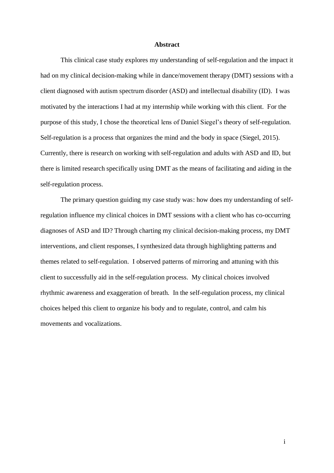### **Abstract**

This clinical case study explores my understanding of self-regulation and the impact it had on my clinical decision-making while in dance/movement therapy (DMT) sessions with a client diagnosed with autism spectrum disorder (ASD) and intellectual disability (ID). I was motivated by the interactions I had at my internship while working with this client. For the purpose of this study, I chose the theoretical lens of Daniel Siegel's theory of self-regulation. Self-regulation is a process that organizes the mind and the body in space (Siegel, 2015). Currently, there is research on working with self-regulation and adults with ASD and ID, but there is limited research specifically using DMT as the means of facilitating and aiding in the self-regulation process.

The primary question guiding my case study was: how does my understanding of selfregulation influence my clinical choices in DMT sessions with a client who has co-occurring diagnoses of ASD and ID? Through charting my clinical decision-making process, my DMT interventions, and client responses, I synthesized data through highlighting patterns and themes related to self-regulation. I observed patterns of mirroring and attuning with this client to successfully aid in the self-regulation process. My clinical choices involved rhythmic awareness and exaggeration of breath. In the self-regulation process, my clinical choices helped this client to organize his body and to regulate, control, and calm his movements and vocalizations.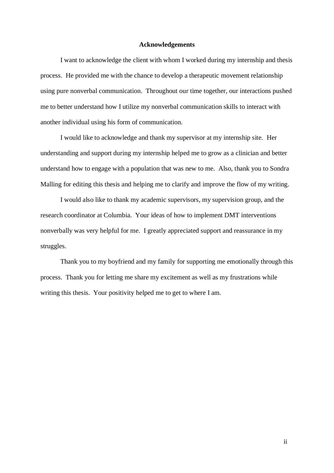### **Acknowledgements**

I want to acknowledge the client with whom I worked during my internship and thesis process. He provided me with the chance to develop a therapeutic movement relationship using pure nonverbal communication. Throughout our time together, our interactions pushed me to better understand how I utilize my nonverbal communication skills to interact with another individual using his form of communication.

I would like to acknowledge and thank my supervisor at my internship site. Her understanding and support during my internship helped me to grow as a clinician and better understand how to engage with a population that was new to me. Also, thank you to Sondra Malling for editing this thesis and helping me to clarify and improve the flow of my writing.

I would also like to thank my academic supervisors, my supervision group, and the research coordinator at Columbia. Your ideas of how to implement DMT interventions nonverbally was very helpful for me. I greatly appreciated support and reassurance in my struggles.

Thank you to my boyfriend and my family for supporting me emotionally through this process. Thank you for letting me share my excitement as well as my frustrations while writing this thesis. Your positivity helped me to get to where I am.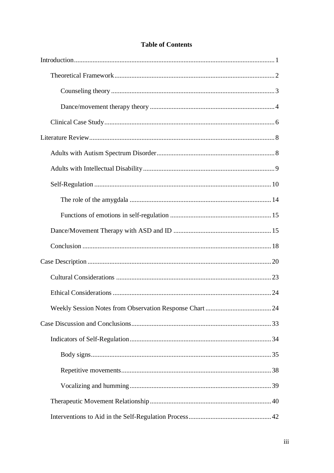# **Table of Contents**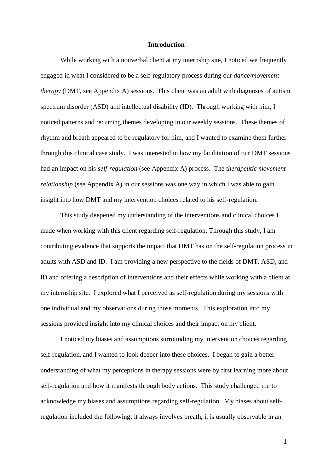### **Introduction**

While working with a nonverbal client at my internship site, I noticed we frequently engaged in what I considered to be a self-regulatory process during our *dance/movement therapy* (DMT, see Appendix A) sessions. This client was an adult with diagnoses of autism spectrum disorder (ASD) and intellectual disability (ID). Through working with him, I noticed patterns and recurring themes developing in our weekly sessions. These themes of rhythm and breath appeared to be regulatory for him, and I wanted to examine them further through this clinical case study. I was interested in how my facilitation of our DMT sessions had an impact on his *self-regulation* (see Appendix A) process. The *therapeutic movement relationship* (see Appendix A) in our sessions was one way in which I was able to gain insight into how DMT and my intervention choices related to his self-regulation.

This study deepened my understanding of the interventions and clinical choices I made when working with this client regarding self-regulation. Through this study, I am contributing evidence that supports the impact that DMT has on the self-regulation process in adults with ASD and ID. I am providing a new perspective to the fields of DMT, ASD, and ID and offering a description of interventions and their effects while working with a client at my internship site. I explored what I perceived as self-regulation during my sessions with one individual and my observations during those moments. This exploration into my sessions provided insight into my clinical choices and their impact on my client.

I noticed my biases and assumptions surrounding my intervention choices regarding self-regulation, and I wanted to look deeper into these choices. I began to gain a better understanding of what my perceptions in therapy sessions were by first learning more about self-regulation and how it manifests through body actions. This study challenged me to acknowledge my biases and assumptions regarding self-regulation. My biases about selfregulation included the following: it always involves breath, it is usually observable in an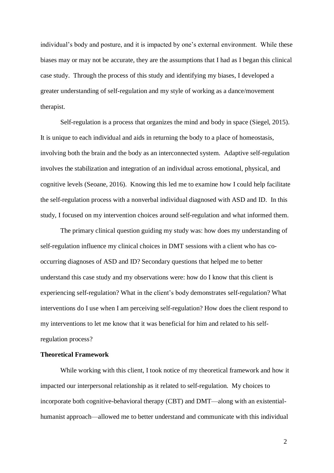individual's body and posture, and it is impacted by one's external environment. While these biases may or may not be accurate, they are the assumptions that I had as I began this clinical case study. Through the process of this study and identifying my biases, I developed a greater understanding of self-regulation and my style of working as a dance/movement therapist.

Self-regulation is a process that organizes the mind and body in space (Siegel, 2015). It is unique to each individual and aids in returning the body to a place of homeostasis, involving both the brain and the body as an interconnected system. Adaptive self-regulation involves the stabilization and integration of an individual across emotional, physical, and cognitive levels (Seoane, 2016). Knowing this led me to examine how I could help facilitate the self-regulation process with a nonverbal individual diagnosed with ASD and ID. In this study, I focused on my intervention choices around self-regulation and what informed them.

The primary clinical question guiding my study was: how does my understanding of self-regulation influence my clinical choices in DMT sessions with a client who has cooccurring diagnoses of ASD and ID? Secondary questions that helped me to better understand this case study and my observations were: how do I know that this client is experiencing self-regulation? What in the client's body demonstrates self-regulation? What interventions do I use when I am perceiving self-regulation? How does the client respond to my interventions to let me know that it was beneficial for him and related to his selfregulation process?

### **Theoretical Framework**

While working with this client, I took notice of my theoretical framework and how it impacted our interpersonal relationship as it related to self-regulation. My choices to incorporate both cognitive-behavioral therapy (CBT) and DMT—along with an existentialhumanist approach—allowed me to better understand and communicate with this individual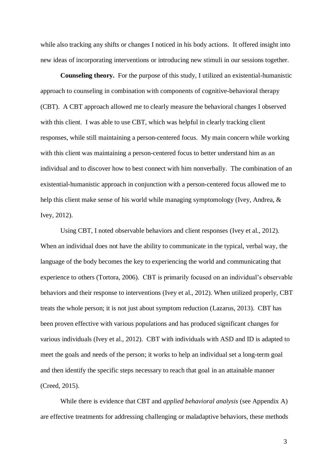while also tracking any shifts or changes I noticed in his body actions. It offered insight into new ideas of incorporating interventions or introducing new stimuli in our sessions together.

**Counseling theory.** For the purpose of this study, I utilized an existential-humanistic approach to counseling in combination with components of cognitive-behavioral therapy (CBT). A CBT approach allowed me to clearly measure the behavioral changes I observed with this client. I was able to use CBT, which was helpful in clearly tracking client responses, while still maintaining a person-centered focus. My main concern while working with this client was maintaining a person-centered focus to better understand him as an individual and to discover how to best connect with him nonverbally. The combination of an existential-humanistic approach in conjunction with a person-centered focus allowed me to help this client make sense of his world while managing symptomology (Ivey, Andrea, & Ivey, 2012).

Using CBT, I noted observable behaviors and client responses (Ivey et al., 2012). When an individual does not have the ability to communicate in the typical, verbal way, the language of the body becomes the key to experiencing the world and communicating that experience to others (Tortora, 2006). CBT is primarily focused on an individual's observable behaviors and their response to interventions (Ivey et al., 2012). When utilized properly, CBT treats the whole person; it is not just about symptom reduction (Lazarus, 2013). CBT has been proven effective with various populations and has produced significant changes for various individuals (Ivey et al., 2012). CBT with individuals with ASD and ID is adapted to meet the goals and needs of the person; it works to help an individual set a long-term goal and then identify the specific steps necessary to reach that goal in an attainable manner (Creed, 2015).

While there is evidence that CBT and *applied behavioral analysis* (see Appendix A) are effective treatments for addressing challenging or maladaptive behaviors, these methods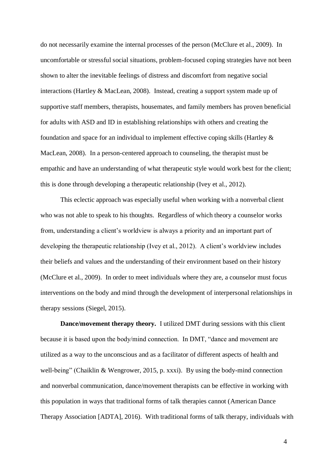do not necessarily examine the internal processes of the person (McClure et al., 2009). In uncomfortable or stressful social situations, problem-focused coping strategies have not been shown to alter the inevitable feelings of distress and discomfort from negative social interactions (Hartley & MacLean, 2008). Instead, creating a support system made up of supportive staff members, therapists, housemates, and family members has proven beneficial for adults with ASD and ID in establishing relationships with others and creating the foundation and space for an individual to implement effective coping skills (Hartley & MacLean, 2008). In a person-centered approach to counseling, the therapist must be empathic and have an understanding of what therapeutic style would work best for the client; this is done through developing a therapeutic relationship (Ivey et al., 2012).

This eclectic approach was especially useful when working with a nonverbal client who was not able to speak to his thoughts. Regardless of which theory a counselor works from, understanding a client's worldview is always a priority and an important part of developing the therapeutic relationship (Ivey et al., 2012). A client's worldview includes their beliefs and values and the understanding of their environment based on their history (McClure et al., 2009). In order to meet individuals where they are, a counselor must focus interventions on the body and mind through the development of interpersonal relationships in therapy sessions (Siegel, 2015).

**Dance/movement therapy theory.** I utilized DMT during sessions with this client because it is based upon the body/mind connection. In DMT, "dance and movement are utilized as a way to the unconscious and as a facilitator of different aspects of health and well-being" (Chaiklin & Wengrower, 2015, p. xxxi). By using the body-mind connection and nonverbal communication, dance/movement therapists can be effective in working with this population in ways that traditional forms of talk therapies cannot (American Dance Therapy Association [ADTA], 2016). With traditional forms of talk therapy, individuals with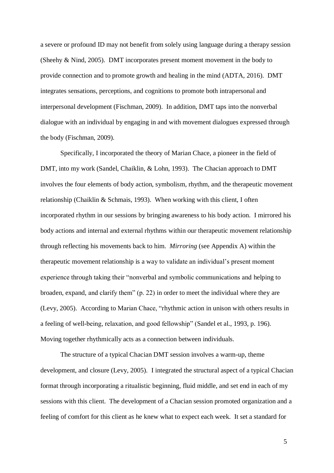a severe or profound ID may not benefit from solely using language during a therapy session (Sheehy & Nind, 2005). DMT incorporates present moment movement in the body to provide connection and to promote growth and healing in the mind (ADTA, 2016). DMT integrates sensations, perceptions, and cognitions to promote both intrapersonal and interpersonal development (Fischman, 2009). In addition, DMT taps into the nonverbal dialogue with an individual by engaging in and with movement dialogues expressed through the body (Fischman, 2009).

Specifically, I incorporated the theory of Marian Chace, a pioneer in the field of DMT, into my work (Sandel, Chaiklin, & Lohn, 1993). The Chacian approach to DMT involves the four elements of body action, symbolism, rhythm, and the therapeutic movement relationship (Chaiklin & Schmais, 1993). When working with this client, I often incorporated rhythm in our sessions by bringing awareness to his body action. I mirrored his body actions and internal and external rhythms within our therapeutic movement relationship through reflecting his movements back to him. *Mirroring* (see Appendix A) within the therapeutic movement relationship is a way to validate an individual's present moment experience through taking their "nonverbal and symbolic communications and helping to broaden, expand, and clarify them" (p. 22) in order to meet the individual where they are (Levy, 2005). According to Marian Chace, "rhythmic action in unison with others results in a feeling of well-being, relaxation, and good fellowship" (Sandel et al., 1993, p. 196). Moving together rhythmically acts as a connection between individuals.

The structure of a typical Chacian DMT session involves a warm-up, theme development, and closure (Levy, 2005). I integrated the structural aspect of a typical Chacian format through incorporating a ritualistic beginning, fluid middle, and set end in each of my sessions with this client. The development of a Chacian session promoted organization and a feeling of comfort for this client as he knew what to expect each week. It set a standard for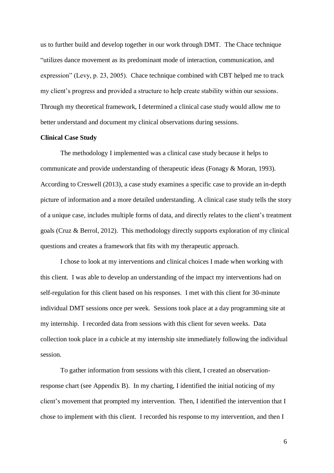us to further build and develop together in our work through DMT. The Chace technique "utilizes dance movement as its predominant mode of interaction, communication, and expression" (Levy, p. 23, 2005). Chace technique combined with CBT helped me to track my client's progress and provided a structure to help create stability within our sessions. Through my theoretical framework, I determined a clinical case study would allow me to better understand and document my clinical observations during sessions.

### **Clinical Case Study**

The methodology I implemented was a clinical case study because it helps to communicate and provide understanding of therapeutic ideas (Fonagy & Moran, 1993). According to Creswell (2013), a case study examines a specific case to provide an in-depth picture of information and a more detailed understanding. A clinical case study tells the story of a unique case, includes multiple forms of data, and directly relates to the client's treatment goals (Cruz & Berrol, 2012). This methodology directly supports exploration of my clinical questions and creates a framework that fits with my therapeutic approach.

I chose to look at my interventions and clinical choices I made when working with this client. I was able to develop an understanding of the impact my interventions had on self-regulation for this client based on his responses. I met with this client for 30-minute individual DMT sessions once per week. Sessions took place at a day programming site at my internship. I recorded data from sessions with this client for seven weeks. Data collection took place in a cubicle at my internship site immediately following the individual session.

To gather information from sessions with this client, I created an observationresponse chart (see Appendix B). In my charting, I identified the initial noticing of my client's movement that prompted my intervention. Then, I identified the intervention that I chose to implement with this client. I recorded his response to my intervention, and then I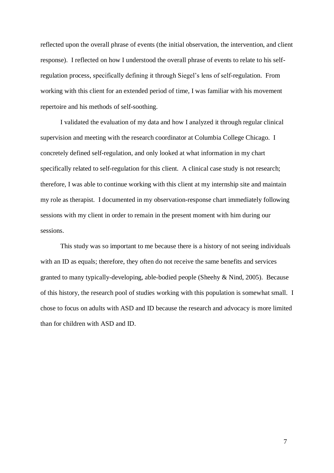reflected upon the overall phrase of events (the initial observation, the intervention, and client response). I reflected on how I understood the overall phrase of events to relate to his selfregulation process, specifically defining it through Siegel's lens of self-regulation. From working with this client for an extended period of time, I was familiar with his movement repertoire and his methods of self-soothing.

I validated the evaluation of my data and how I analyzed it through regular clinical supervision and meeting with the research coordinator at Columbia College Chicago. I concretely defined self-regulation, and only looked at what information in my chart specifically related to self-regulation for this client. A clinical case study is not research; therefore, I was able to continue working with this client at my internship site and maintain my role as therapist. I documented in my observation-response chart immediately following sessions with my client in order to remain in the present moment with him during our sessions.

This study was so important to me because there is a history of not seeing individuals with an ID as equals; therefore, they often do not receive the same benefits and services granted to many typically-developing, able-bodied people (Sheehy & Nind, 2005). Because of this history, the research pool of studies working with this population is somewhat small. I chose to focus on adults with ASD and ID because the research and advocacy is more limited than for children with ASD and ID.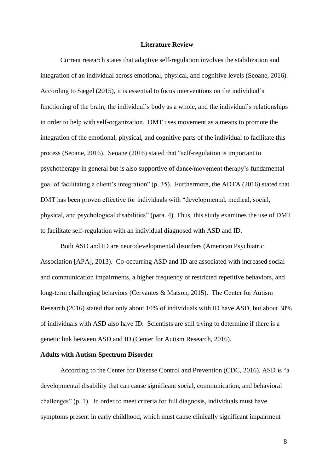### **Literature Review**

Current research states that adaptive self-regulation involves the stabilization and integration of an individual across emotional, physical, and cognitive levels (Seoane, 2016). According to Siegel (2015), it is essential to focus interventions on the individual's functioning of the brain, the individual's body as a whole, and the individual's relationships in order to help with self-organization. DMT uses movement as a means to promote the integration of the emotional, physical, and cognitive parts of the individual to facilitate this process (Seoane, 2016). Seoane (2016) stated that "self-regulation is important to psychotherapy in general but is also supportive of dance/movement therapy's fundamental goal of facilitating a client's integration" (p. 35). Furthermore, the ADTA (2016) stated that DMT has been proven effective for individuals with "developmental, medical, social, physical, and psychological disabilities" (para. 4). Thus, this study examines the use of DMT to facilitate self-regulation with an individual diagnosed with ASD and ID.

Both ASD and ID are neurodevelopmental disorders (American Psychiatric Association [APA], 2013). Co-occurring ASD and ID are associated with increased social and communication impairments, a higher frequency of restricted repetitive behaviors, and long-term challenging behaviors (Cervantes & Matson, 2015). The Center for Autism Research (2016) stated that only about 10% of individuals with ID have ASD, but about 38% of individuals with ASD also have ID. Scientists are still trying to determine if there is a genetic link between ASD and ID (Center for Autism Research, 2016).

### **Adults with Autism Spectrum Disorder**

According to the Center for Disease Control and Prevention (CDC, 2016), ASD is "a developmental disability that can cause significant social, communication, and behavioral challenges" (p. 1). In order to meet criteria for full diagnosis, individuals must have symptoms present in early childhood, which must cause clinically significant impairment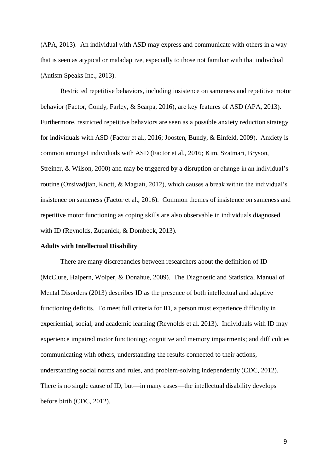(APA, 2013). An individual with ASD may express and communicate with others in a way that is seen as atypical or maladaptive, especially to those not familiar with that individual (Autism Speaks Inc., 2013).

Restricted repetitive behaviors, including insistence on sameness and repetitive motor behavior (Factor, Condy, Farley, & Scarpa, 2016), are key features of ASD (APA, 2013). Furthermore, restricted repetitive behaviors are seen as a possible anxiety reduction strategy for individuals with ASD (Factor et al., 2016; Joosten, Bundy, & Einfeld, 2009). Anxiety is common amongst individuals with ASD (Factor et al., 2016; Kim, Szatmari, Bryson, Streiner, & Wilson, 2000) and may be triggered by a disruption or change in an individual's routine (Ozsivadjian, Knott, & Magiati, 2012), which causes a break within the individual's insistence on sameness (Factor et al., 2016). Common themes of insistence on sameness and repetitive motor functioning as coping skills are also observable in individuals diagnosed with ID (Reynolds, Zupanick, & Dombeck, 2013).

#### **Adults with Intellectual Disability**

There are many discrepancies between researchers about the definition of ID (McClure, Halpern, Wolper, & Donahue, 2009). The Diagnostic and Statistical Manual of Mental Disorders (2013) describes ID as the presence of both intellectual and adaptive functioning deficits. To meet full criteria for ID, a person must experience difficulty in experiential, social, and academic learning (Reynolds et al. 2013). Individuals with ID may experience impaired motor functioning; cognitive and memory impairments; and difficulties communicating with others, understanding the results connected to their actions, understanding social norms and rules, and problem-solving independently (CDC, 2012). There is no single cause of ID, but—in many cases—the intellectual disability develops before birth (CDC, 2012).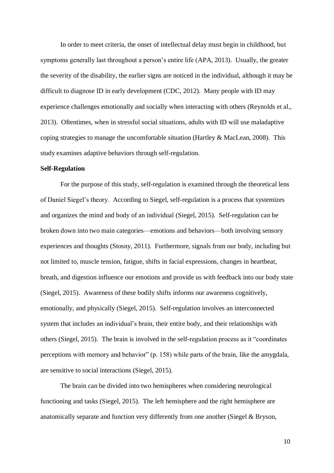In order to meet criteria, the onset of intellectual delay must begin in childhood, but symptoms generally last throughout a person's entire life (APA, 2013). Usually, the greater the severity of the disability, the earlier signs are noticed in the individual, although it may be difficult to diagnose ID in early development (CDC, 2012). Many people with ID may experience challenges emotionally and socially when interacting with others (Reynolds et al., 2013). Oftentimes, when in stressful social situations, adults with ID will use maladaptive coping strategies to manage the uncomfortable situation (Hartley & MacLean, 2008). This study examines adaptive behaviors through self-regulation.

### **Self-Regulation**

For the purpose of this study, self-regulation is examined through the theoretical lens of Daniel Siegel's theory. According to Siegel, self-regulation is a process that systemizes and organizes the mind and body of an individual (Siegel, 2015). Self-regulation can be broken down into two main categories—emotions and behaviors—both involving sensory experiences and thoughts (Stosny, 2011). Furthermore, signals from our body, including but not limited to, muscle tension, fatigue, shifts in facial expressions, changes in heartbeat, breath, and digestion influence our emotions and provide us with feedback into our body state (Siegel, 2015). Awareness of these bodily shifts informs our awareness cognitively, emotionally, and physically (Siegel, 2015). Self-regulation involves an interconnected system that includes an individual's brain, their entire body, and their relationships with others (Siegel, 2015). The brain is involved in the self-regulation process as it "coordinates perceptions with memory and behavior" (p. 158) while parts of the brain, like the amygdala, are sensitive to social interactions (Siegel, 2015).

The brain can be divided into two hemispheres when considering neurological functioning and tasks (Siegel, 2015). The left hemisphere and the right hemisphere are anatomically separate and function very differently from one another (Siegel & Bryson,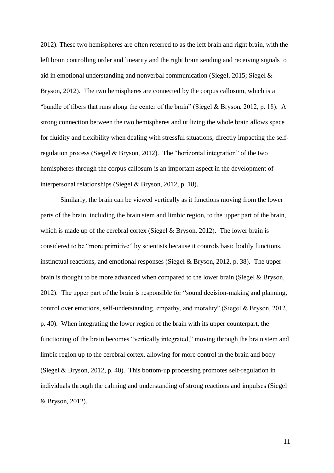2012). These two hemispheres are often referred to as the left brain and right brain, with the left brain controlling order and linearity and the right brain sending and receiving signals to aid in emotional understanding and nonverbal communication (Siegel, 2015; Siegel & Bryson, 2012). The two hemispheres are connected by the corpus callosum, which is a "bundle of fibers that runs along the center of the brain" (Siegel & Bryson, 2012, p. 18). A strong connection between the two hemispheres and utilizing the whole brain allows space for fluidity and flexibility when dealing with stressful situations, directly impacting the selfregulation process (Siegel & Bryson, 2012). The "horizontal integration" of the two hemispheres through the corpus callosum is an important aspect in the development of interpersonal relationships (Siegel & Bryson, 2012, p. 18).

Similarly, the brain can be viewed vertically as it functions moving from the lower parts of the brain, including the brain stem and limbic region, to the upper part of the brain, which is made up of the cerebral cortex (Siegel  $&$  Bryson, 2012). The lower brain is considered to be "more primitive" by scientists because it controls basic bodily functions, instinctual reactions, and emotional responses (Siegel & Bryson, 2012, p. 38). The upper brain is thought to be more advanced when compared to the lower brain (Siegel & Bryson, 2012). The upper part of the brain is responsible for "sound decision-making and planning, control over emotions, self-understanding, empathy, and morality" (Siegel & Bryson, 2012, p. 40). When integrating the lower region of the brain with its upper counterpart, the functioning of the brain becomes "vertically integrated," moving through the brain stem and limbic region up to the cerebral cortex, allowing for more control in the brain and body (Siegel & Bryson, 2012, p. 40). This bottom-up processing promotes self-regulation in individuals through the calming and understanding of strong reactions and impulses (Siegel & Bryson, 2012).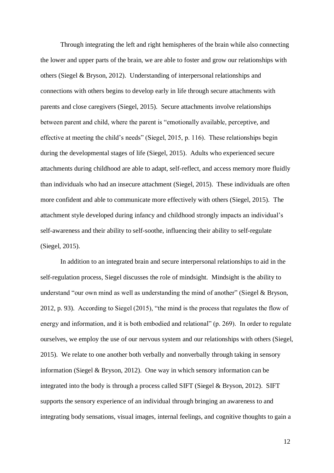Through integrating the left and right hemispheres of the brain while also connecting the lower and upper parts of the brain, we are able to foster and grow our relationships with others (Siegel & Bryson, 2012). Understanding of interpersonal relationships and connections with others begins to develop early in life through secure attachments with parents and close caregivers (Siegel, 2015). Secure attachments involve relationships between parent and child, where the parent is "emotionally available, perceptive, and effective at meeting the child's needs" (Siegel, 2015, p. 116). These relationships begin during the developmental stages of life (Siegel, 2015). Adults who experienced secure attachments during childhood are able to adapt, self-reflect, and access memory more fluidly than individuals who had an insecure attachment (Siegel, 2015). These individuals are often more confident and able to communicate more effectively with others (Siegel, 2015). The attachment style developed during infancy and childhood strongly impacts an individual's self-awareness and their ability to self-soothe, influencing their ability to self-regulate (Siegel, 2015).

In addition to an integrated brain and secure interpersonal relationships to aid in the self-regulation process, Siegel discusses the role of mindsight. Mindsight is the ability to understand "our own mind as well as understanding the mind of another" (Siegel & Bryson, 2012, p. 93). According to Siegel (2015), "the mind is the process that regulates the flow of energy and information, and it is both embodied and relational" (p. 269). In order to regulate ourselves, we employ the use of our nervous system and our relationships with others (Siegel, 2015). We relate to one another both verbally and nonverbally through taking in sensory information (Siegel & Bryson, 2012). One way in which sensory information can be integrated into the body is through a process called SIFT (Siegel & Bryson, 2012). SIFT supports the sensory experience of an individual through bringing an awareness to and integrating body sensations, visual images, internal feelings, and cognitive thoughts to gain a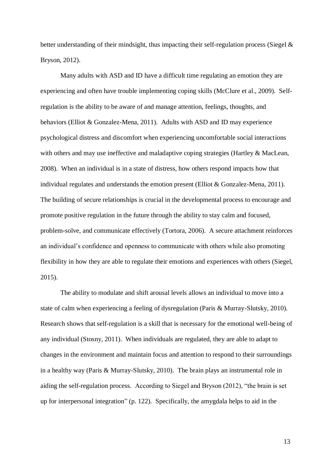better understanding of their mindsight, thus impacting their self-regulation process (Siegel & Bryson, 2012).

Many adults with ASD and ID have a difficult time regulating an emotion they are experiencing and often have trouble implementing coping skills (McClure et al., 2009). Selfregulation is the ability to be aware of and manage attention, feelings, thoughts, and behaviors (Elliot & Gonzalez-Mena, 2011). Adults with ASD and ID may experience psychological distress and discomfort when experiencing uncomfortable social interactions with others and may use ineffective and maladaptive coping strategies (Hartley & MacLean, 2008). When an individual is in a state of distress, how others respond impacts how that individual regulates and understands the emotion present (Elliot & Gonzalez-Mena, 2011). The building of secure relationships is crucial in the developmental process to encourage and promote positive regulation in the future through the ability to stay calm and focused, problem-solve, and communicate effectively (Tortora, 2006). A secure attachment reinforces an individual's confidence and openness to communicate with others while also promoting flexibility in how they are able to regulate their emotions and experiences with others (Siegel, 2015).

The ability to modulate and shift arousal levels allows an individual to move into a state of calm when experiencing a feeling of dysregulation (Paris & Murray-Slutsky, 2010). Research shows that self-regulation is a skill that is necessary for the emotional well-being of any individual (Stosny, 2011). When individuals are regulated, they are able to adapt to changes in the environment and maintain focus and attention to respond to their surroundings in a healthy way (Paris & Murray-Slutsky, 2010). The brain plays an instrumental role in aiding the self-regulation process. According to Siegel and Bryson (2012), "the brain is set up for interpersonal integration" (p. 122). Specifically, the amygdala helps to aid in the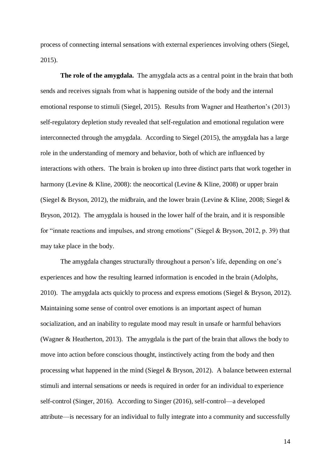process of connecting internal sensations with external experiences involving others (Siegel, 2015).

**The role of the amygdala.** The amygdala acts as a central point in the brain that both sends and receives signals from what is happening outside of the body and the internal emotional response to stimuli (Siegel, 2015). Results from Wagner and Heatherton's (2013) self-regulatory depletion study revealed that self-regulation and emotional regulation were interconnected through the amygdala. According to Siegel (2015), the amygdala has a large role in the understanding of memory and behavior, both of which are influenced by interactions with others. The brain is broken up into three distinct parts that work together in harmony (Levine & Kline, 2008): the neocortical (Levine & Kline, 2008) or upper brain (Siegel & Bryson, 2012), the midbrain, and the lower brain (Levine & Kline, 2008; Siegel & Bryson, 2012). The amygdala is housed in the lower half of the brain, and it is responsible for "innate reactions and impulses, and strong emotions" (Siegel & Bryson, 2012, p. 39) that may take place in the body.

The amygdala changes structurally throughout a person's life, depending on one's experiences and how the resulting learned information is encoded in the brain (Adolphs, 2010). The amygdala acts quickly to process and express emotions (Siegel & Bryson, 2012). Maintaining some sense of control over emotions is an important aspect of human socialization, and an inability to regulate mood may result in unsafe or harmful behaviors (Wagner & Heatherton, 2013). The amygdala is the part of the brain that allows the body to move into action before conscious thought, instinctively acting from the body and then processing what happened in the mind (Siegel & Bryson, 2012).A balance between external stimuli and internal sensations or needs is required in order for an individual to experience self-control (Singer, 2016). According to Singer (2016), self-control—a developed attribute—is necessary for an individual to fully integrate into a community and successfully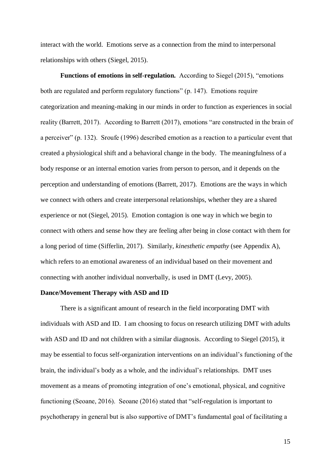interact with the world. Emotions serve as a connection from the mind to interpersonal relationships with others (Siegel, 2015).

**Functions of emotions in self-regulation.** According to Siegel (2015), "emotions both are regulated and perform regulatory functions" (p. 147). Emotions require categorization and meaning-making in our minds in order to function as experiences in social reality (Barrett, 2017). According to Barrett (2017), emotions "are constructed in the brain of a perceiver" (p. 132). Sroufe (1996) described emotion as a reaction to a particular event that created a physiological shift and a behavioral change in the body. The meaningfulness of a body response or an internal emotion varies from person to person, and it depends on the perception and understanding of emotions (Barrett, 2017). Emotions are the ways in which we connect with others and create interpersonal relationships, whether they are a shared experience or not (Siegel, 2015). Emotion contagion is one way in which we begin to connect with others and sense how they are feeling after being in close contact with them for a long period of time (Sifferlin, 2017). Similarly, *kinesthetic empathy* (see Appendix A), which refers to an emotional awareness of an individual based on their movement and connecting with another individual nonverbally, is used in DMT (Levy, 2005).

#### **Dance/Movement Therapy with ASD and ID**

There is a significant amount of research in the field incorporating DMT with individuals with ASD and ID. I am choosing to focus on research utilizing DMT with adults with ASD and ID and not children with a similar diagnosis. According to Siegel (2015), it may be essential to focus self-organization interventions on an individual's functioning of the brain, the individual's body as a whole, and the individual's relationships. DMT uses movement as a means of promoting integration of one's emotional, physical, and cognitive functioning (Seoane, 2016). Seoane (2016) stated that "self-regulation is important to psychotherapy in general but is also supportive of DMT's fundamental goal of facilitating a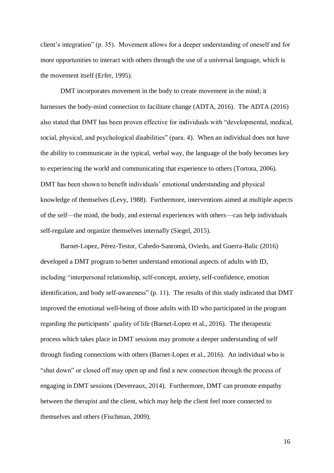client's integration" (p. 35). Movement allows for a deeper understanding of oneself and for more opportunities to interact with others through the use of a universal language, which is the movement itself (Erfer, 1995).

DMT incorporates movement in the body to create movement in the mind; it harnesses the body-mind connection to facilitate change (ADTA, 2016). The ADTA (2016) also stated that DMT has been proven effective for individuals with "developmental, medical, social, physical, and psychological disabilities" (para. 4). When an individual does not have the ability to communicate in the typical, verbal way, the language of the body becomes key to experiencing the world and communicating that experience to others (Tortora, 2006). DMT has been shown to benefit individuals' emotional understanding and physical knowledge of themselves (Levy, 1988). Furthermore, interventions aimed at multiple aspects of the self—the mind, the body, and external experiences with others—can help individuals self-regulate and organize themselves internally (Siegel, 2015).

Barnet-Lopez, Pérez-Testor, Cabedo-Sanromà, Oviedo, and Guerra-Balic (2016) developed a DMT program to better understand emotional aspects of adults with ID, including "interpersonal relationship, self-concept, anxiety, self-confidence, emotion identification, and body self-awareness" (p. 11). The results of this study indicated that DMT improved the emotional well-being of those adults with ID who participated in the program regarding the participants' quality of life (Barnet-Lopez et al., 2016). The therapeutic process which takes place in DMT sessions may promote a deeper understanding of self through finding connections with others (Barnet-Lopez et al., 2016). An individual who is "shut down" or closed off may open up and find a new connection through the process of engaging in DMT sessions (Devereaux, 2014). Furthermore, DMT can promote empathy between the therapist and the client, which may help the client feel more connected to themselves and others (Fischman, 2009).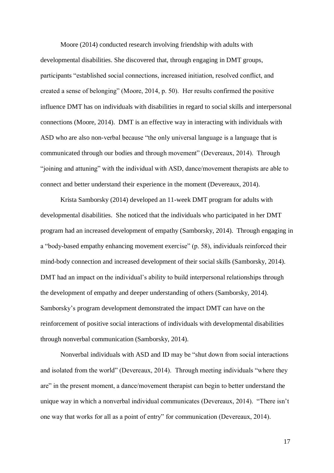Moore (2014) conducted research involving friendship with adults with developmental disabilities. She discovered that, through engaging in DMT groups, participants "established social connections, increased initiation, resolved conflict, and created a sense of belonging" (Moore, 2014, p. 50). Her results confirmed the positive influence DMT has on individuals with disabilities in regard to social skills and interpersonal connections (Moore, 2014). DMT is an effective way in interacting with individuals with ASD who are also non-verbal because "the only universal language is a language that is communicated through our bodies and through movement" (Devereaux, 2014). Through "joining and attuning" with the individual with ASD, dance/movement therapists are able to connect and better understand their experience in the moment (Devereaux, 2014).

Krista Samborsky (2014) developed an 11-week DMT program for adults with developmental disabilities. She noticed that the individuals who participated in her DMT program had an increased development of empathy (Samborsky, 2014). Through engaging in a "body-based empathy enhancing movement exercise" (p. 58), individuals reinforced their mind-body connection and increased development of their social skills (Samborsky, 2014). DMT had an impact on the individual's ability to build interpersonal relationships through the development of empathy and deeper understanding of others (Samborsky, 2014). Samborsky's program development demonstrated the impact DMT can have on the reinforcement of positive social interactions of individuals with developmental disabilities through nonverbal communication (Samborsky, 2014).

Nonverbal individuals with ASD and ID may be "shut down from social interactions and isolated from the world" (Devereaux, 2014). Through meeting individuals "where they are" in the present moment, a dance/movement therapist can begin to better understand the unique way in which a nonverbal individual communicates (Devereaux, 2014). "There isn't one way that works for all as a point of entry" for communication (Devereaux, 2014).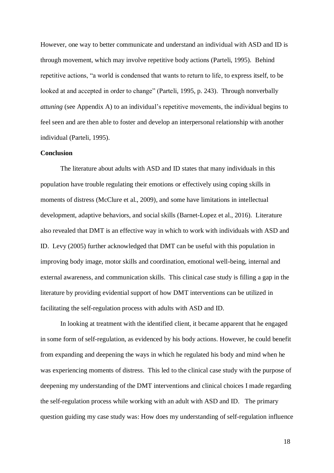However, one way to better communicate and understand an individual with ASD and ID is through movement, which may involve repetitive body actions (Parteli, 1995). Behind repetitive actions, "a world is condensed that wants to return to life, to express itself, to be looked at and accepted in order to change" (Parteli, 1995, p. 243). Through nonverbally *attuning* (see Appendix A) to an individual's repetitive movements, the individual begins to feel seen and are then able to foster and develop an interpersonal relationship with another individual (Parteli, 1995).

### **Conclusion**

The literature about adults with ASD and ID states that many individuals in this population have trouble regulating their emotions or effectively using coping skills in moments of distress (McClure et al., 2009), and some have limitations in intellectual development, adaptive behaviors, and social skills (Barnet-Lopez et al., 2016). Literature also revealed that DMT is an effective way in which to work with individuals with ASD and ID. Levy (2005) further acknowledged that DMT can be useful with this population in improving body image, motor skills and coordination, emotional well-being, internal and external awareness, and communication skills. This clinical case study is filling a gap in the literature by providing evidential support of how DMT interventions can be utilized in facilitating the self-regulation process with adults with ASD and ID.

In looking at treatment with the identified client, it became apparent that he engaged in some form of self-regulation, as evidenced by his body actions. However, he could benefit from expanding and deepening the ways in which he regulated his body and mind when he was experiencing moments of distress. This led to the clinical case study with the purpose of deepening my understanding of the DMT interventions and clinical choices I made regarding the self-regulation process while working with an adult with ASD and ID. The primary question guiding my case study was: How does my understanding of self-regulation influence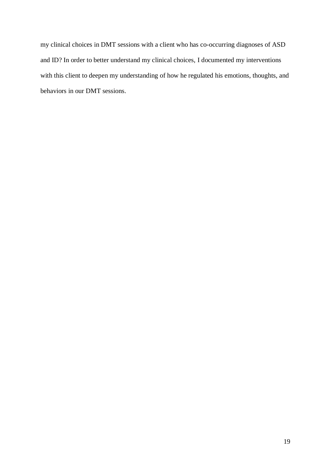my clinical choices in DMT sessions with a client who has co-occurring diagnoses of ASD and ID? In order to better understand my clinical choices, I documented my interventions with this client to deepen my understanding of how he regulated his emotions, thoughts, and behaviors in our DMT sessions.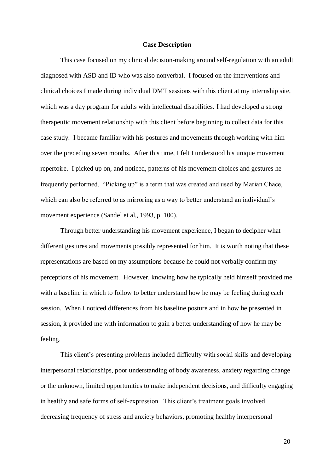### **Case Description**

This case focused on my clinical decision-making around self-regulation with an adult diagnosed with ASD and ID who was also nonverbal. I focused on the interventions and clinical choices I made during individual DMT sessions with this client at my internship site, which was a day program for adults with intellectual disabilities. I had developed a strong therapeutic movement relationship with this client before beginning to collect data for this case study. I became familiar with his postures and movements through working with him over the preceding seven months. After this time, I felt I understood his unique movement repertoire. I picked up on, and noticed, patterns of his movement choices and gestures he frequently performed. "Picking up" is a term that was created and used by Marian Chace, which can also be referred to as mirroring as a way to better understand an individual's movement experience (Sandel et al., 1993, p. 100).

Through better understanding his movement experience, I began to decipher what different gestures and movements possibly represented for him. It is worth noting that these representations are based on my assumptions because he could not verbally confirm my perceptions of his movement. However, knowing how he typically held himself provided me with a baseline in which to follow to better understand how he may be feeling during each session. When I noticed differences from his baseline posture and in how he presented in session, it provided me with information to gain a better understanding of how he may be feeling.

This client's presenting problems included difficulty with social skills and developing interpersonal relationships, poor understanding of body awareness, anxiety regarding change or the unknown, limited opportunities to make independent decisions, and difficulty engaging in healthy and safe forms of self-expression. This client's treatment goals involved decreasing frequency of stress and anxiety behaviors, promoting healthy interpersonal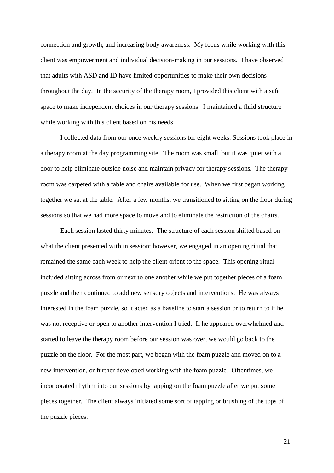connection and growth, and increasing body awareness. My focus while working with this client was empowerment and individual decision-making in our sessions. I have observed that adults with ASD and ID have limited opportunities to make their own decisions throughout the day. In the security of the therapy room, I provided this client with a safe space to make independent choices in our therapy sessions. I maintained a fluid structure while working with this client based on his needs.

I collected data from our once weekly sessions for eight weeks. Sessions took place in a therapy room at the day programming site. The room was small, but it was quiet with a door to help eliminate outside noise and maintain privacy for therapy sessions. The therapy room was carpeted with a table and chairs available for use. When we first began working together we sat at the table. After a few months, we transitioned to sitting on the floor during sessions so that we had more space to move and to eliminate the restriction of the chairs.

Each session lasted thirty minutes. The structure of each session shifted based on what the client presented with in session; however, we engaged in an opening ritual that remained the same each week to help the client orient to the space. This opening ritual included sitting across from or next to one another while we put together pieces of a foam puzzle and then continued to add new sensory objects and interventions. He was always interested in the foam puzzle, so it acted as a baseline to start a session or to return to if he was not receptive or open to another intervention I tried. If he appeared overwhelmed and started to leave the therapy room before our session was over, we would go back to the puzzle on the floor. For the most part, we began with the foam puzzle and moved on to a new intervention, or further developed working with the foam puzzle. Oftentimes, we incorporated rhythm into our sessions by tapping on the foam puzzle after we put some pieces together. The client always initiated some sort of tapping or brushing of the tops of the puzzle pieces.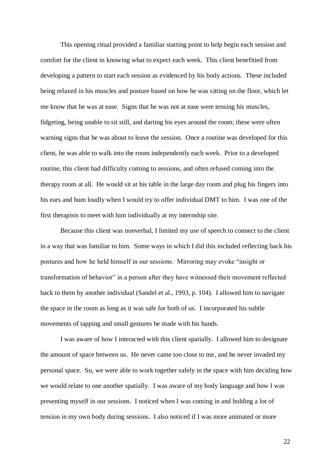This opening ritual provided a familiar starting point to help begin each session and comfort for the client in knowing what to expect each week. This client benefitted from developing a pattern to start each session as evidenced by his body actions. These included being relaxed in his muscles and posture based on how he was sitting on the floor, which let me know that he was at ease. Signs that he was not at ease were tensing his muscles, fidgeting, being unable to sit still, and darting his eyes around the room; these were often warning signs that he was about to leave the session. Once a routine was developed for this client, he was able to walk into the room independently each week. Prior to a developed routine, this client had difficulty coming to sessions, and often refused coming into the therapy room at all. He would sit at his table in the large day room and plug his fingers into his ears and hum loudly when I would try to offer individual DMT to him. I was one of the first therapists to meet with him individually at my internship site.

Because this client was nonverbal, I limited my use of speech to connect to the client in a way that was familiar to him. Some ways in which I did this included reflecting back his postures and how he held himself in our sessions. Mirroring may evoke "insight or transformation of behavior" in a person after they have witnessed their movement reflected back to them by another individual (Sandel et al., 1993, p. 104). I allowed him to navigate the space in the room as long as it was safe for both of us. I incorporated his subtle movements of tapping and small gestures he made with his hands.

I was aware of how I interacted with this client spatially. I allowed him to designate the amount of space between us. He never came too close to me, and he never invaded my personal space. So, we were able to work together safely in the space with him deciding how we would relate to one another spatially. I was aware of my body language and how I was presenting myself in our sessions. I noticed when I was coming in and holding a lot of tension in my own body during sessions. I also noticed if I was more animated or more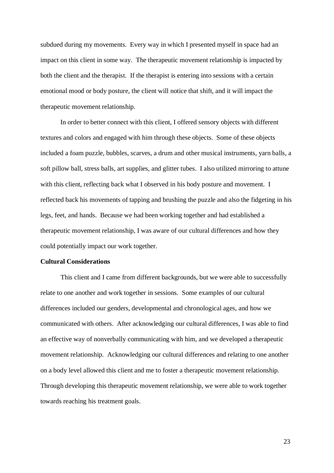subdued during my movements. Every way in which I presented myself in space had an impact on this client in some way. The therapeutic movement relationship is impacted by both the client and the therapist. If the therapist is entering into sessions with a certain emotional mood or body posture, the client will notice that shift, and it will impact the therapeutic movement relationship.

In order to better connect with this client, I offered sensory objects with different textures and colors and engaged with him through these objects. Some of these objects included a foam puzzle, bubbles, scarves, a drum and other musical instruments, yarn balls, a soft pillow ball, stress balls, art supplies, and glitter tubes. I also utilized mirroring to attune with this client, reflecting back what I observed in his body posture and movement. I reflected back his movements of tapping and brushing the puzzle and also the fidgeting in his legs, feet, and hands. Because we had been working together and had established a therapeutic movement relationship, I was aware of our cultural differences and how they could potentially impact our work together.

### **Cultural Considerations**

This client and I came from different backgrounds, but we were able to successfully relate to one another and work together in sessions. Some examples of our cultural differences included our genders, developmental and chronological ages, and how we communicated with others. After acknowledging our cultural differences, I was able to find an effective way of nonverbally communicating with him, and we developed a therapeutic movement relationship. Acknowledging our cultural differences and relating to one another on a body level allowed this client and me to foster a therapeutic movement relationship. Through developing this therapeutic movement relationship, we were able to work together towards reaching his treatment goals.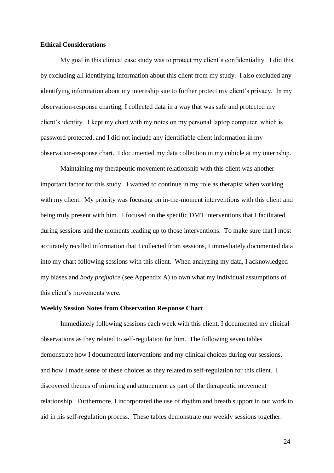### **Ethical Considerations**

My goal in this clinical case study was to protect my client's confidentiality. I did this by excluding all identifying information about this client from my study. I also excluded any identifying information about my internship site to further protect my client's privacy. In my observation-response charting, I collected data in a way that was safe and protected my client's identity. I kept my chart with my notes on my personal laptop computer, which is password protected, and I did not include any identifiable client information in my observation-response chart. I documented my data collection in my cubicle at my internship.

Maintaining my therapeutic movement relationship with this client was another important factor for this study. I wanted to continue in my role as therapist when working with my client. My priority was focusing on in-the-moment interventions with this client and being truly present with him. I focused on the specific DMT interventions that I facilitated during sessions and the moments leading up to those interventions. To make sure that I most accurately recalled information that I collected from sessions, I immediately documented data into my chart following sessions with this client. When analyzing my data, I acknowledged my biases and *body prejudice* (see Appendix A) to own what my individual assumptions of this client's movements were.

#### **Weekly Session Notes from Observation Response Chart**

Immediately following sessions each week with this client, I documented my clinical observations as they related to self-regulation for him. The following seven tables demonstrate how I documented interventions and my clinical choices during our sessions, and how I made sense of these choices as they related to self-regulation for this client. I discovered themes of mirroring and attunement as part of the therapeutic movement relationship. Furthermore, I incorporated the use of rhythm and breath support in our work to aid in his self-regulation process. These tables demonstrate our weekly sessions together.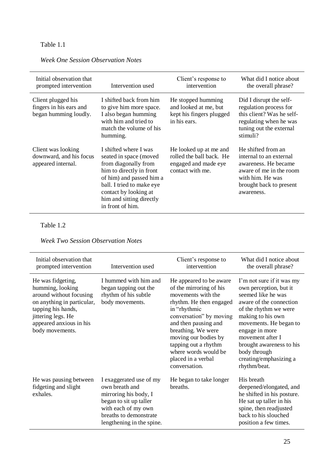| Initial observation that<br>prompted intervention                      | Intervention used                                                                                                                                                                                                                     | Client's response to<br>intervention                                                           | What did I notice about<br>the overall phrase?                                                                                                                |
|------------------------------------------------------------------------|---------------------------------------------------------------------------------------------------------------------------------------------------------------------------------------------------------------------------------------|------------------------------------------------------------------------------------------------|---------------------------------------------------------------------------------------------------------------------------------------------------------------|
| Client plugged his<br>fingers in his ears and<br>began humming loudly. | I shifted back from him<br>to give him more space.<br>I also began humming<br>with him and tried to<br>match the volume of his<br>humming.                                                                                            | He stopped humming<br>and looked at me, but<br>kept his fingers plugged<br>in his ears.        | Did I disrupt the self-<br>regulation process for<br>this client? Was he self-<br>regulating when he was<br>tuning out the external<br>stimuli?               |
| Client was looking<br>downward, and his focus<br>appeared internal.    | I shifted where I was<br>seated in space (moved<br>from diagonally from<br>him to directly in front<br>of him) and passed him a<br>ball. I tried to make eye<br>contact by looking at<br>him and sitting directly<br>in front of him. | He looked up at me and<br>rolled the ball back. He<br>engaged and made eye<br>contact with me. | He shifted from an<br>internal to an external<br>awareness. He became<br>aware of me in the room<br>with him. He was<br>brought back to present<br>awareness. |

# *Week One Session Observation Notes*

### Table 1.2

### *Week Two Session Observation Notes*

| Initial observation that<br>prompted intervention                                                                                                                                        | Intervention used                                                                                                                                                          | Client's response to<br>intervention                                                                                                                                                                                                                                                                        | What did I notice about<br>the overall phrase?                                                                                                                                                                                                                                                           |
|------------------------------------------------------------------------------------------------------------------------------------------------------------------------------------------|----------------------------------------------------------------------------------------------------------------------------------------------------------------------------|-------------------------------------------------------------------------------------------------------------------------------------------------------------------------------------------------------------------------------------------------------------------------------------------------------------|----------------------------------------------------------------------------------------------------------------------------------------------------------------------------------------------------------------------------------------------------------------------------------------------------------|
| He was fidgeting,<br>humming, looking<br>around without focusing<br>on anything in particular,<br>tapping his hands,<br>jittering legs. He<br>appeared anxious in his<br>body movements. | I hummed with him and<br>began tapping out the<br>rhythm of his subtle<br>body movements.                                                                                  | He appeared to be aware<br>of the mirroring of his<br>movements with the<br>rhythm. He then engaged<br>in "rhythmic<br>conversation" by moving<br>and then pausing and<br>breathing. We were<br>moving our bodies by<br>tapping out a rhythm<br>where words would be<br>placed in a verbal<br>conversation. | I'm not sure if it was my<br>own perception, but it<br>seemed like he was<br>aware of the connection<br>of the rhythm we were<br>making to his own<br>movements. He began to<br>engage in more<br>movement after I<br>brought awareness to his<br>body through<br>creating/emphasizing a<br>rhythm/beat. |
| He was pausing between<br>fidgeting and slight<br>exhales.                                                                                                                               | I exaggerated use of my<br>own breath and<br>mirroring his body, I<br>began to sit up taller<br>with each of my own<br>breaths to demonstrate<br>lengthening in the spine. | He began to take longer<br>breaths.                                                                                                                                                                                                                                                                         | His breath<br>deepened/elongated, and<br>he shifted in his posture.<br>He sat up taller in his<br>spine, then readjusted<br>back to his slouched<br>position a few times.                                                                                                                                |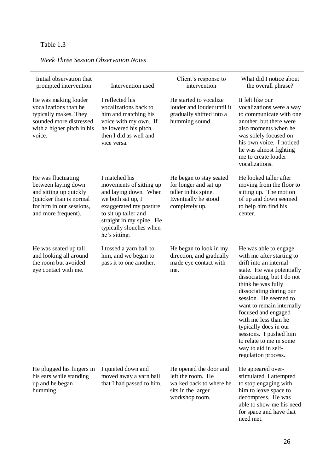| Initial observation that<br>prompted intervention                                                                                                 | Intervention used                                                                                                                                                                                                | Client's response to<br>intervention                                                                              | What did I notice about<br>the overall phrase?                                                                                                                                                                                                                                                                                                                                                                            |
|---------------------------------------------------------------------------------------------------------------------------------------------------|------------------------------------------------------------------------------------------------------------------------------------------------------------------------------------------------------------------|-------------------------------------------------------------------------------------------------------------------|---------------------------------------------------------------------------------------------------------------------------------------------------------------------------------------------------------------------------------------------------------------------------------------------------------------------------------------------------------------------------------------------------------------------------|
| He was making louder<br>vocalizations than he<br>typically makes. They<br>sounded more distressed<br>with a higher pitch in his<br>voice.         | I reflected his<br>vocalizations back to<br>him and matching his<br>voice with my own. If<br>he lowered his pitch,<br>then I did as well and<br>vice versa.                                                      | He started to vocalize<br>louder and louder until it<br>gradually shifted into a<br>humming sound.                | It felt like our<br>vocalizations were a way<br>to communicate with one<br>another, but there were<br>also moments when he<br>was solely focused on<br>his own voice. I noticed<br>he was almost fighting<br>me to create louder<br>vocalizations.                                                                                                                                                                        |
| He was fluctuating<br>between laying down<br>and sitting up quickly<br>(quicker than is normal<br>for him in our sessions,<br>and more frequent). | I matched his<br>movements of sitting up<br>and laying down. When<br>we both sat up, I<br>exaggerated my posture<br>to sit up taller and<br>straight in my spine. He<br>typically slouches when<br>he's sitting. | He began to stay seated<br>for longer and sat up<br>taller in his spine.<br>Eventually he stood<br>completely up. | He looked taller after<br>moving from the floor to<br>sitting up. The motion<br>of up and down seemed<br>to help him find his<br>center.                                                                                                                                                                                                                                                                                  |
| He was seated up tall<br>and looking all around<br>the room but avoided<br>eye contact with me.                                                   | I tossed a yarn ball to<br>him, and we began to<br>pass it to one another.                                                                                                                                       | He began to look in my<br>direction, and gradually<br>made eye contact with<br>me.                                | He was able to engage<br>with me after starting to<br>drift into an internal<br>state. He was potentially<br>dissociating, but I do not<br>think he was fully<br>dissociating during our<br>session. He seemed to<br>want to remain internally<br>focused and engaged<br>with me less than he<br>typically does in our<br>sessions. I pushed him<br>to relate to me in some<br>way to aid in self-<br>regulation process. |
| He plugged his fingers in<br>his ears while standing<br>up and he began<br>humming.                                                               | I quieted down and<br>moved away a yarn ball<br>that I had passed to him.                                                                                                                                        | He opened the door and<br>left the room. He<br>walked back to where he<br>sits in the larger<br>workshop room.    | He appeared over-<br>stimulated. I attempted<br>to stop engaging with<br>him to leave space to<br>decompress. He was<br>able to show me his need<br>for space and have that<br>need met.                                                                                                                                                                                                                                  |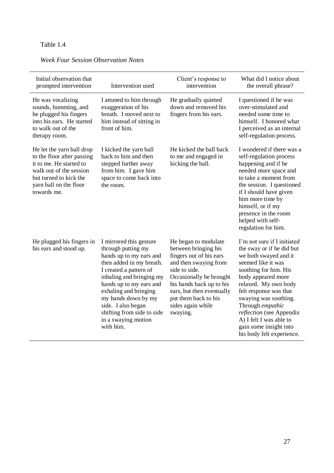| Initial observation that<br>prompted intervention                                                                                                                                | Intervention used                                                                                                                                                                                                                                                                                                             | Client's response to<br>intervention                                                                                                                                                                                                                           | What did I notice about<br>the overall phrase?                                                                                                                                                                                                                                                                                                                      |
|----------------------------------------------------------------------------------------------------------------------------------------------------------------------------------|-------------------------------------------------------------------------------------------------------------------------------------------------------------------------------------------------------------------------------------------------------------------------------------------------------------------------------|----------------------------------------------------------------------------------------------------------------------------------------------------------------------------------------------------------------------------------------------------------------|---------------------------------------------------------------------------------------------------------------------------------------------------------------------------------------------------------------------------------------------------------------------------------------------------------------------------------------------------------------------|
|                                                                                                                                                                                  |                                                                                                                                                                                                                                                                                                                               |                                                                                                                                                                                                                                                                |                                                                                                                                                                                                                                                                                                                                                                     |
| He was vocalizing<br>sounds, humming, and<br>he plugged his fingers<br>into his ears. He started<br>to walk out of the<br>therapy room.                                          | I attuned to him through<br>exaggeration of his<br>breath. I moved next to<br>him instead of sitting in<br>front of him.                                                                                                                                                                                                      | He gradually quieted<br>down and removed his<br>fingers from his ears.                                                                                                                                                                                         | I questioned if he was<br>over-stimulated and<br>needed some time to<br>himself. I honored what<br>I perceived as an internal<br>self-regulation process.                                                                                                                                                                                                           |
| He let the yarn ball drop<br>to the floor after passing<br>it to me. He started to<br>walk out of the session<br>but turned to kick the<br>yarn ball on the floor<br>towards me. | I kicked the yarn ball<br>back to him and then<br>stepped further away<br>from him. I gave him<br>space to come back into<br>the room.                                                                                                                                                                                        | He kicked the ball back<br>to me and engaged in<br>kicking the ball.                                                                                                                                                                                           | I wondered if there was a<br>self-regulation process<br>happening and if he<br>needed more space and<br>to take a moment from<br>the session. I questioned<br>if I should have given<br>him more time by<br>himself, or if my<br>presence in the room<br>helped with self-<br>regulation for him.                                                                   |
| He plugged his fingers in<br>his ears and stood up.                                                                                                                              | I mirrored this gesture<br>through putting my<br>hands up to my ears and<br>then added in my breath.<br>I created a pattern of<br>inhaling and bringing my<br>hands up to my ears and<br>exhaling and bringing<br>my hands down by my<br>side. I also began<br>shifting from side to side<br>in a swaying motion<br>with him. | He began to modulate<br>between bringing his<br>fingers out of his ears<br>and then swaying from<br>side to side.<br>Occasionally he brought<br>his hands back up to his<br>ears, but then eventually<br>put them back to his<br>sides again while<br>swaying. | I'm not sure if I initiated<br>the sway or if he did but<br>we both swayed and it<br>seemed like it was<br>soothing for him. His<br>body appeared more<br>relaxed. My own body<br>felt response was that<br>swaying was soothing.<br>Through empathic<br>reflection (see Appendix<br>A) I felt I was able to<br>gain some insight into<br>his body felt experience. |

# *Week Four Session Observation Notes*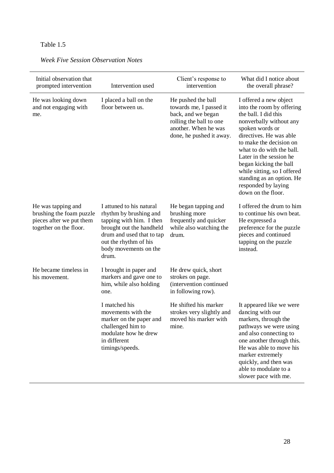| Initial observation that<br>prompted intervention                                                    | Intervention used                                                                                                                                                                                  | Client's response to<br>intervention                                                                                                               | What did I notice about<br>the overall phrase?                                                                                                                                                                                                                                                                                                                             |
|------------------------------------------------------------------------------------------------------|----------------------------------------------------------------------------------------------------------------------------------------------------------------------------------------------------|----------------------------------------------------------------------------------------------------------------------------------------------------|----------------------------------------------------------------------------------------------------------------------------------------------------------------------------------------------------------------------------------------------------------------------------------------------------------------------------------------------------------------------------|
| He was looking down<br>and not engaging with<br>me.                                                  | I placed a ball on the<br>floor between us.                                                                                                                                                        | He pushed the ball<br>towards me, I passed it<br>back, and we began<br>rolling the ball to one<br>another. When he was<br>done, he pushed it away. | I offered a new object<br>into the room by offering<br>the ball. I did this<br>nonverbally without any<br>spoken words or<br>directives. He was able<br>to make the decision on<br>what to do with the ball.<br>Later in the session he<br>began kicking the ball<br>while sitting, so I offered<br>standing as an option. He<br>responded by laying<br>down on the floor. |
| He was tapping and<br>brushing the foam puzzle<br>pieces after we put them<br>together on the floor. | I attuned to his natural<br>rhythm by brushing and<br>tapping with him. I then<br>brought out the handheld<br>drum and used that to tap<br>out the rhythm of his<br>body movements on the<br>drum. | He began tapping and<br>brushing more<br>frequently and quicker<br>while also watching the<br>drum.                                                | I offered the drum to him<br>to continue his own beat.<br>He expressed a<br>preference for the puzzle<br>pieces and continued<br>tapping on the puzzle<br>instead.                                                                                                                                                                                                         |
| He became timeless in<br>his movement.                                                               | I brought in paper and<br>markers and gave one to<br>him, while also holding<br>one.                                                                                                               | He drew quick, short<br>strokes on page.<br>(intervention continued<br>in following row).                                                          |                                                                                                                                                                                                                                                                                                                                                                            |
|                                                                                                      | I matched his<br>movements with the<br>marker on the paper and<br>challenged him to<br>modulate how he drew<br>in different<br>timings/speeds.                                                     | He shifted his marker<br>strokes very slightly and<br>moved his marker with<br>mine.                                                               | It appeared like we were<br>dancing with our<br>markers, through the<br>pathways we were using<br>and also connecting to<br>one another through this.<br>He was able to move his<br>marker extremely<br>quickly, and then was<br>able to modulate to a<br>slower pace with me.                                                                                             |

### *Week Five Session Observation Notes*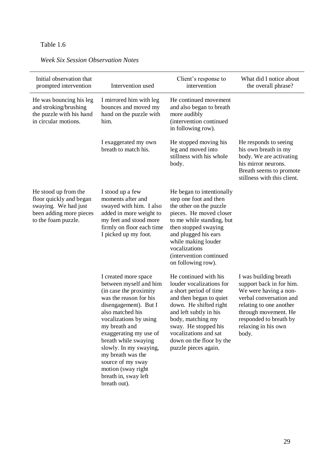|  |  | <b>Week Six Session Observation Notes</b> |  |
|--|--|-------------------------------------------|--|
|--|--|-------------------------------------------|--|

| Initial observation that<br>prompted intervention                                                                         | Intervention used                                                                                                                                                                                                                                                                                                                                                              | Client's response to<br>intervention                                                                                                                                                                                                                                                 | What did I notice about<br>the overall phrase?                                                                                                                                                                     |
|---------------------------------------------------------------------------------------------------------------------------|--------------------------------------------------------------------------------------------------------------------------------------------------------------------------------------------------------------------------------------------------------------------------------------------------------------------------------------------------------------------------------|--------------------------------------------------------------------------------------------------------------------------------------------------------------------------------------------------------------------------------------------------------------------------------------|--------------------------------------------------------------------------------------------------------------------------------------------------------------------------------------------------------------------|
| He was bouncing his leg<br>and stroking/brushing<br>the puzzle with his hand<br>in circular motions.                      | I mirrored him with leg<br>bounces and moved my<br>hand on the puzzle with<br>him.                                                                                                                                                                                                                                                                                             | He continued movement<br>and also began to breath<br>more audibly<br>(intervention continued<br>in following row).                                                                                                                                                                   |                                                                                                                                                                                                                    |
|                                                                                                                           | I exaggerated my own<br>breath to match his.                                                                                                                                                                                                                                                                                                                                   | He stopped moving his<br>leg and moved into<br>stillness with his whole<br>body.                                                                                                                                                                                                     | He responds to seeing<br>his own breath in my<br>body. We are activating<br>his mirror neurons.<br>Breath seems to promote<br>stillness with this client.                                                          |
| He stood up from the<br>floor quickly and began<br>swaying. We had just<br>been adding more pieces<br>to the foam puzzle. | I stood up a few<br>moments after and<br>swayed with him. I also<br>added in more weight to<br>my feet and stood more<br>firmly on floor each time<br>I picked up my foot.                                                                                                                                                                                                     | He began to intentionally<br>step one foot and then<br>the other on the puzzle<br>pieces. He moved closer<br>to me while standing, but<br>then stopped swaying<br>and plugged his ears<br>while making louder<br>vocalizations<br>(intervention continued<br>on following row).      |                                                                                                                                                                                                                    |
|                                                                                                                           | I created more space<br>between myself and him<br>(in case the proximity<br>was the reason for his<br>disengagement). But I<br>also matched his<br>vocalizations by using<br>my breath and<br>exaggerating my use of<br>breath while swaying<br>slowly. In my swaying,<br>my breath was the<br>source of my sway<br>motion (sway right<br>breath in, sway left<br>breath out). | He continued with his<br>louder vocalizations for<br>a short period of time<br>and then began to quiet<br>down. He shifted right<br>and left subtly in his<br>body, matching my<br>sway. He stopped his<br>vocalizations and sat<br>down on the floor by the<br>puzzle pieces again. | I was building breath<br>support back in for him.<br>We were having a non-<br>verbal conversation and<br>relating to one another<br>through movement. He<br>responded to breath by<br>relaxing in his own<br>body. |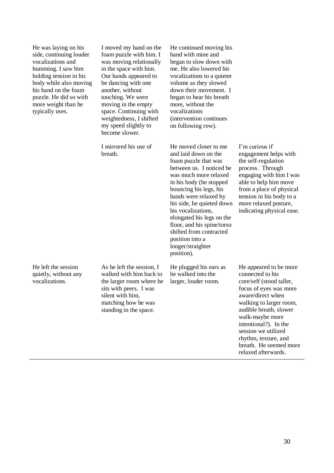He was laying on his side, continuing louder vocalizations and humming. I saw him holding tension in his body while also moving his hand on the foam puzzle. He did so with more weight than he typically uses.

I moved my hand on the foam puzzle with him. I was moving relationally in the space with him. Our hands appeared to be dancing with one another, without touching. We were moving in the empty space. Continuing with weightedness, I shifted my speed slightly to become slower.

I mirrored his use of breath.

(intervention continues on following row). He moved closer to me and laid down on the foam puzzle that was between us. I noticed he was much more relaxed in his body (he stopped bouncing his legs, his hands were relaxed by his side, he quieted down his vocalizations, elongated his legs on the floor, and his spine/torso shifted from contracted position into a longer/straighter position).

He continued moving his hand with mine and began to slow down with me. He also lowered his vocalizations to a quieter volume as they slowed down their movement. I began to hear his breath more, without the vocalizations

He plugged his ears as he walked into the larger, louder room.

I'm curious if engagement helps with the self-regulation process. Through engaging with him I was able to help him move from a place of physical tension in his body to a more relaxed posture, indicating physical ease.

He left the session quietly, without any vocalizations.

As he left the session, I walked with him back to the larger room where he sits with peers. I was silent with him, matching how he was standing in the space.

He appeared to be more connected to his core/self (stood taller, focus of eyes was more aware/direct when walking to larger room, audible breath, slower walk-maybe more intentional?). In the session we utilized rhythm, texture, and breath. He seemed more relaxed afterwards.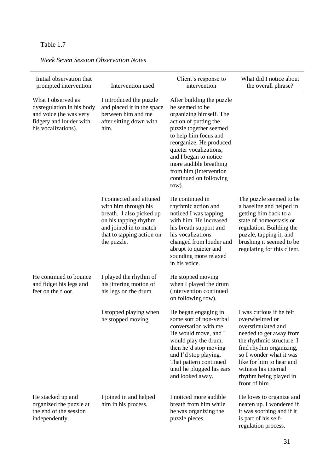|  | <b>Week Seven Session Observation Notes</b> |  |
|--|---------------------------------------------|--|
|  |                                             |  |

| Initial observation that<br>prompted intervention                                                                           | Intervention used                                                                                                                                                          | Client's response to<br>intervention                                                                                                                                                                                                                                                                                     | What did I notice about<br>the overall phrase?                                                                                                                                                                                                                                |
|-----------------------------------------------------------------------------------------------------------------------------|----------------------------------------------------------------------------------------------------------------------------------------------------------------------------|--------------------------------------------------------------------------------------------------------------------------------------------------------------------------------------------------------------------------------------------------------------------------------------------------------------------------|-------------------------------------------------------------------------------------------------------------------------------------------------------------------------------------------------------------------------------------------------------------------------------|
| What I observed as<br>dysregulation in his body<br>and voice (he was very<br>fidgety and louder with<br>his vocalizations). | I introduced the puzzle<br>and placed it in the space<br>between him and me<br>after sitting down with<br>him.                                                             | After building the puzzle<br>he seemed to be<br>organizing himself. The<br>action of putting the<br>puzzle together seemed<br>to help him focus and<br>reorganize. He produced<br>quieter vocalizations,<br>and I began to notice<br>more audible breathing<br>from him (intervention<br>continued on following<br>row). |                                                                                                                                                                                                                                                                               |
|                                                                                                                             | I connected and attuned<br>with him through his<br>breath. I also picked up<br>on his tapping rhythm<br>and joined in to match<br>that to tapping action on<br>the puzzle. | He continued in<br>rhythmic action and<br>noticed I was tapping<br>with him. He increased<br>his breath support and<br>his vocalizations<br>changed from louder and<br>abrupt to quieter and<br>sounding more relaxed<br>in his voice.                                                                                   | The puzzle seemed to be<br>a baseline and helped in<br>getting him back to a<br>state of homeostasis or<br>regulation. Building the<br>puzzle, tapping it, and<br>brushing it seemed to be<br>regulating for this client.                                                     |
| He continued to bounce<br>and fidget his legs and<br>feet on the floor.                                                     | I played the rhythm of<br>his jittering motion of<br>his legs on the drum.                                                                                                 | He stopped moving<br>when I played the drum<br>(intervention continued<br>on following row).                                                                                                                                                                                                                             |                                                                                                                                                                                                                                                                               |
|                                                                                                                             | I stopped playing when<br>he stopped moving.                                                                                                                               | He began engaging in<br>some sort of non-verbal<br>conversation with me.<br>He would move, and I<br>would play the drum,<br>then he'd stop moving<br>and I'd stop playing.<br>That pattern continued<br>until he plugged his ears<br>and looked away.                                                                    | I was curious if he felt<br>overwhelmed or<br>overstimulated and<br>needed to get away from<br>the rhythmic structure. I<br>find rhythm organizing,<br>so I wonder what it was<br>like for him to hear and<br>witness his internal<br>rhythm being played in<br>front of him. |
| He stacked up and<br>organized the puzzle at<br>the end of the session<br>independently.                                    | I joined in and helped<br>him in his process.                                                                                                                              | I noticed more audible<br>breath from him while<br>he was organizing the<br>puzzle pieces.                                                                                                                                                                                                                               | He loves to organize and<br>neaten up. I wondered if<br>it was soothing and if it<br>is part of his self-<br>regulation process.                                                                                                                                              |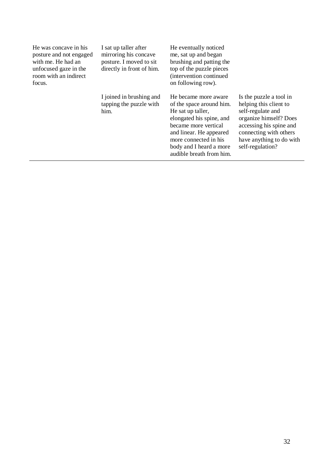| He was concave in his<br>posture and not engaged<br>with me. He had an<br>unfocused gaze in the<br>room with an indirect<br>focus. | I sat up taller after<br>mirroring his concave<br>posture. I moved to sit<br>directly in front of him. | He eventually noticed<br>me, sat up and began<br>brushing and patting the<br>top of the puzzle pieces<br>(intervention continued<br>on following row).                                                                               |                                                                                                                                                                                                       |
|------------------------------------------------------------------------------------------------------------------------------------|--------------------------------------------------------------------------------------------------------|--------------------------------------------------------------------------------------------------------------------------------------------------------------------------------------------------------------------------------------|-------------------------------------------------------------------------------------------------------------------------------------------------------------------------------------------------------|
|                                                                                                                                    | I joined in brushing and<br>tapping the puzzle with<br>him.                                            | He became more aware<br>of the space around him.<br>He sat up taller,<br>elongated his spine, and<br>became more vertical<br>and linear. He appeared<br>more connected in his<br>body and I heard a more<br>audible breath from him. | Is the puzzle a tool in<br>helping this client to<br>self-regulate and<br>organize himself? Does<br>accessing his spine and<br>connecting with others<br>have anything to do with<br>self-regulation? |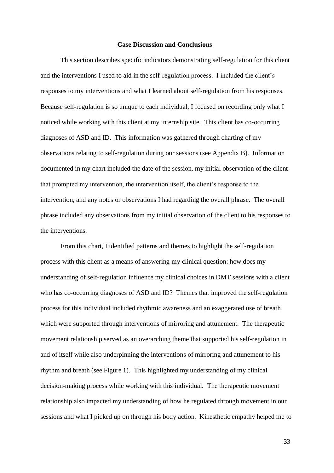### **Case Discussion and Conclusions**

This section describes specific indicators demonstrating self-regulation for this client and the interventions I used to aid in the self-regulation process. I included the client's responses to my interventions and what I learned about self-regulation from his responses. Because self-regulation is so unique to each individual, I focused on recording only what I noticed while working with this client at my internship site. This client has co-occurring diagnoses of ASD and ID. This information was gathered through charting of my observations relating to self-regulation during our sessions (see Appendix B). Information documented in my chart included the date of the session, my initial observation of the client that prompted my intervention, the intervention itself, the client's response to the intervention, and any notes or observations I had regarding the overall phrase. The overall phrase included any observations from my initial observation of the client to his responses to the interventions.

From this chart, I identified patterns and themes to highlight the self-regulation process with this client as a means of answering my clinical question: how does my understanding of self-regulation influence my clinical choices in DMT sessions with a client who has co-occurring diagnoses of ASD and ID? Themes that improved the self-regulation process for this individual included rhythmic awareness and an exaggerated use of breath, which were supported through interventions of mirroring and attunement. The therapeutic movement relationship served as an overarching theme that supported his self-regulation in and of itself while also underpinning the interventions of mirroring and attunement to his rhythm and breath (see Figure 1). This highlighted my understanding of my clinical decision-making process while working with this individual. The therapeutic movement relationship also impacted my understanding of how he regulated through movement in our sessions and what I picked up on through his body action. Kinesthetic empathy helped me to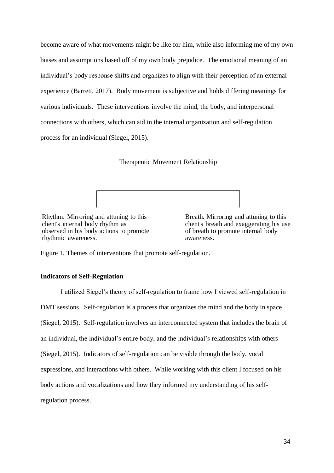become aware of what movements might be like for him, while also informing me of my own biases and assumptions based off of my own body prejudice. The emotional meaning of an individual's body response shifts and organizes to align with their perception of an external experience (Barrett, 2017). Body movement is subjective and holds differing meanings for various individuals. These interventions involve the mind, the body, and interpersonal connections with others, which can aid in the internal organization and self-regulation process for an individual (Siegel, 2015).





Rhythm. Mirroring and attuning to this client's internal body rhythm as observed in his body actions to promote rhythmic awareness.

Breath. Mirroring and attuning to this client's breath and exaggerating his use of breath to promote internal body awareness.

Figure 1. Themes of interventions that promote self-regulation.

### **Indicators of Self-Regulation**

I utilized Siegel's theory of self-regulation to frame how I viewed self-regulation in DMT sessions. Self-regulation is a process that organizes the mind and the body in space (Siegel, 2015). Self-regulation involves an interconnected system that includes the brain of an individual, the individual's entire body, and the individual's relationships with others (Siegel, 2015). Indicators of self-regulation can be visible through the body, vocal expressions, and interactions with others. While working with this client I focused on his body actions and vocalizations and how they informed my understanding of his selfregulation process.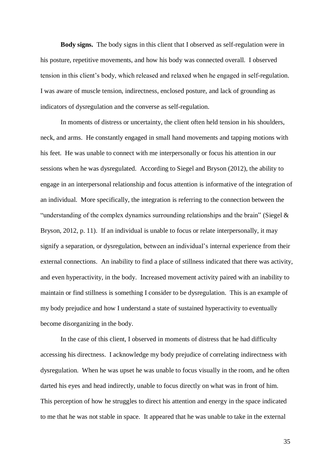**Body signs.** The body signs in this client that I observed as self-regulation were in his posture, repetitive movements, and how his body was connected overall. I observed tension in this client's body, which released and relaxed when he engaged in self-regulation. I was aware of muscle tension, indirectness, enclosed posture, and lack of grounding as indicators of dysregulation and the converse as self-regulation.

In moments of distress or uncertainty, the client often held tension in his shoulders, neck, and arms. He constantly engaged in small hand movements and tapping motions with his feet. He was unable to connect with me interpersonally or focus his attention in our sessions when he was dysregulated. According to Siegel and Bryson (2012), the ability to engage in an interpersonal relationship and focus attention is informative of the integration of an individual. More specifically, the integration is referring to the connection between the "understanding of the complex dynamics surrounding relationships and the brain" (Siegel  $\&$ Bryson, 2012, p. 11). If an individual is unable to focus or relate interpersonally, it may signify a separation, or dysregulation, between an individual's internal experience from their external connections. An inability to find a place of stillness indicated that there was activity, and even hyperactivity, in the body. Increased movement activity paired with an inability to maintain or find stillness is something I consider to be dysregulation. This is an example of my body prejudice and how I understand a state of sustained hyperactivity to eventually become disorganizing in the body.

In the case of this client, I observed in moments of distress that he had difficulty accessing his directness. I acknowledge my body prejudice of correlating indirectness with dysregulation. When he was upset he was unable to focus visually in the room, and he often darted his eyes and head indirectly, unable to focus directly on what was in front of him. This perception of how he struggles to direct his attention and energy in the space indicated to me that he was not stable in space. It appeared that he was unable to take in the external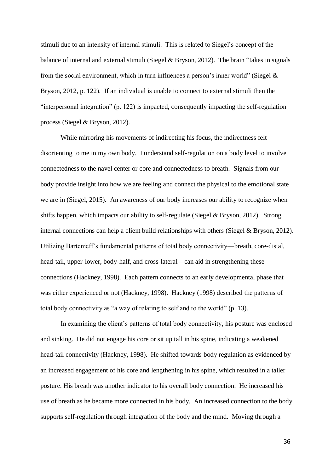stimuli due to an intensity of internal stimuli. This is related to Siegel's concept of the balance of internal and external stimuli (Siegel & Bryson, 2012). The brain "takes in signals from the social environment, which in turn influences a person's inner world" (Siegel  $\&$ Bryson, 2012, p. 122). If an individual is unable to connect to external stimuli then the "interpersonal integration" (p. 122) is impacted, consequently impacting the self-regulation process (Siegel & Bryson, 2012).

While mirroring his movements of indirecting his focus, the indirectness felt disorienting to me in my own body. I understand self-regulation on a body level to involve connectedness to the navel center or core and connectedness to breath. Signals from our body provide insight into how we are feeling and connect the physical to the emotional state we are in (Siegel, 2015). An awareness of our body increases our ability to recognize when shifts happen, which impacts our ability to self-regulate (Siegel & Bryson, 2012). Strong internal connections can help a client build relationships with others (Siegel & Bryson, 2012). Utilizing Bartenieff's fundamental patterns of total body connectivity—breath, core-distal, head-tail, upper-lower, body-half, and cross-lateral—can aid in strengthening these connections (Hackney, 1998). Each pattern connects to an early developmental phase that was either experienced or not (Hackney, 1998). Hackney (1998) described the patterns of total body connectivity as "a way of relating to self and to the world" (p. 13).

In examining the client's patterns of total body connectivity, his posture was enclosed and sinking. He did not engage his core or sit up tall in his spine, indicating a weakened head-tail connectivity (Hackney, 1998). He shifted towards body regulation as evidenced by an increased engagement of his core and lengthening in his spine, which resulted in a taller posture. His breath was another indicator to his overall body connection. He increased his use of breath as he became more connected in his body. An increased connection to the body supports self-regulation through integration of the body and the mind. Moving through a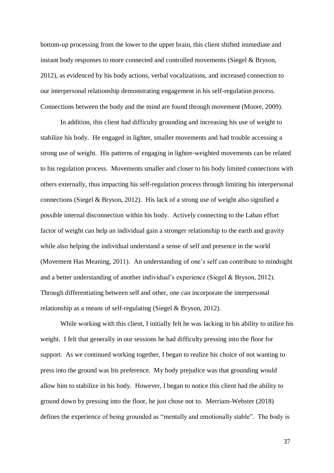bottom-up processing from the lower to the upper brain, this client shifted immediate and instant body responses to more connected and controlled movements (Siegel & Bryson, 2012), as evidenced by his body actions, verbal vocalizations, and increased connection to our interpersonal relationship demonstrating engagement in his self-regulation process. Connections between the body and the mind are found through movement (Moore, 2009).

In addition, this client had difficulty grounding and increasing his use of weight to stabilize his body. He engaged in lighter, smaller movements and had trouble accessing a strong use of weight. His patterns of engaging in lighter-weighted movements can be related to his regulation process. Movements smaller and closer to his body limited connections with others externally, thus impacting his self-regulation process through limiting his interpersonal connections (Siegel & Bryson, 2012). His lack of a strong use of weight also signified a possible internal disconnection within his body. Actively connecting to the Laban effort factor of weight can help an individual gain a stronger relationship to the earth and gravity while also helping the individual understand a sense of self and presence in the world (Movement Has Meaning, 2011). An understanding of one's self can contribute to mindsight and a better understanding of another individual's experience (Siegel & Bryson, 2012). Through differentiating between self and other, one can incorporate the interpersonal relationship as a means of self-regulating (Siegel & Bryson, 2012).

While working with this client, I initially felt he was lacking in his ability to utilize his weight. I felt that generally in our sessions he had difficulty pressing into the floor for support. As we continued working together, I began to realize his choice of not wanting to press into the ground was his preference. My body prejudice was that grounding would allow him to stabilize in his body. However, I began to notice this client had the ability to ground down by pressing into the floor, he just chose not to. Merriam-Webster (2018) defines the experience of being grounded as "mentally and emotionally stable". The body is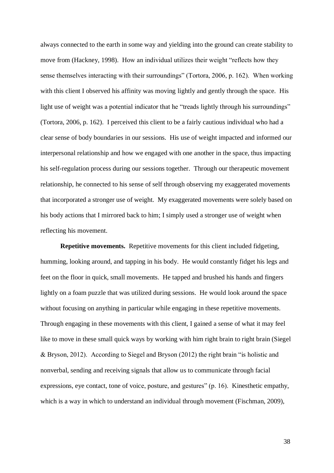always connected to the earth in some way and yielding into the ground can create stability to move from (Hackney, 1998). How an individual utilizes their weight "reflects how they sense themselves interacting with their surroundings" (Tortora, 2006, p. 162). When working with this client I observed his affinity was moving lightly and gently through the space. His light use of weight was a potential indicator that he "treads lightly through his surroundings" (Tortora, 2006, p. 162). I perceived this client to be a fairly cautious individual who had a clear sense of body boundaries in our sessions. His use of weight impacted and informed our interpersonal relationship and how we engaged with one another in the space, thus impacting his self-regulation process during our sessions together. Through our therapeutic movement relationship, he connected to his sense of self through observing my exaggerated movements that incorporated a stronger use of weight. My exaggerated movements were solely based on his body actions that I mirrored back to him; I simply used a stronger use of weight when reflecting his movement.

**Repetitive movements.** Repetitive movements for this client included fidgeting, humming, looking around, and tapping in his body. He would constantly fidget his legs and feet on the floor in quick, small movements. He tapped and brushed his hands and fingers lightly on a foam puzzle that was utilized during sessions. He would look around the space without focusing on anything in particular while engaging in these repetitive movements. Through engaging in these movements with this client, I gained a sense of what it may feel like to move in these small quick ways by working with him right brain to right brain (Siegel & Bryson, 2012). According to Siegel and Bryson (2012) the right brain "is holistic and nonverbal, sending and receiving signals that allow us to communicate through facial expressions, eye contact, tone of voice, posture, and gestures" (p. 16). Kinesthetic empathy, which is a way in which to understand an individual through movement (Fischman, 2009),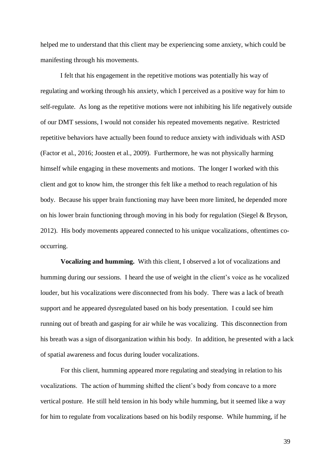helped me to understand that this client may be experiencing some anxiety, which could be manifesting through his movements.

I felt that his engagement in the repetitive motions was potentially his way of regulating and working through his anxiety, which I perceived as a positive way for him to self-regulate. As long as the repetitive motions were not inhibiting his life negatively outside of our DMT sessions, I would not consider his repeated movements negative. Restricted repetitive behaviors have actually been found to reduce anxiety with individuals with ASD (Factor et al., 2016; Joosten et al., 2009). Furthermore, he was not physically harming himself while engaging in these movements and motions. The longer I worked with this client and got to know him, the stronger this felt like a method to reach regulation of his body. Because his upper brain functioning may have been more limited, he depended more on his lower brain functioning through moving in his body for regulation (Siegel & Bryson, 2012). His body movements appeared connected to his unique vocalizations, oftentimes cooccurring.

**Vocalizing and humming.** With this client, I observed a lot of vocalizations and humming during our sessions. I heard the use of weight in the client's voice as he vocalized louder, but his vocalizations were disconnected from his body. There was a lack of breath support and he appeared dysregulated based on his body presentation. I could see him running out of breath and gasping for air while he was vocalizing. This disconnection from his breath was a sign of disorganization within his body. In addition, he presented with a lack of spatial awareness and focus during louder vocalizations.

For this client, humming appeared more regulating and steadying in relation to his vocalizations. The action of humming shifted the client's body from concave to a more vertical posture. He still held tension in his body while humming, but it seemed like a way for him to regulate from vocalizations based on his bodily response. While humming, if he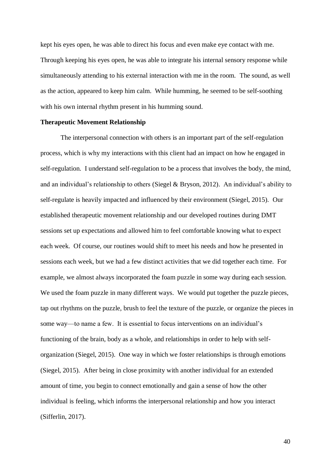kept his eyes open, he was able to direct his focus and even make eye contact with me. Through keeping his eyes open, he was able to integrate his internal sensory response while simultaneously attending to his external interaction with me in the room. The sound, as well as the action, appeared to keep him calm. While humming, he seemed to be self-soothing with his own internal rhythm present in his humming sound.

#### **Therapeutic Movement Relationship**

The interpersonal connection with others is an important part of the self-regulation process, which is why my interactions with this client had an impact on how he engaged in self-regulation. I understand self-regulation to be a process that involves the body, the mind, and an individual's relationship to others (Siegel & Bryson, 2012). An individual's ability to self-regulate is heavily impacted and influenced by their environment (Siegel, 2015). Our established therapeutic movement relationship and our developed routines during DMT sessions set up expectations and allowed him to feel comfortable knowing what to expect each week. Of course, our routines would shift to meet his needs and how he presented in sessions each week, but we had a few distinct activities that we did together each time. For example, we almost always incorporated the foam puzzle in some way during each session. We used the foam puzzle in many different ways. We would put together the puzzle pieces, tap out rhythms on the puzzle, brush to feel the texture of the puzzle, or organize the pieces in some way—to name a few. It is essential to focus interventions on an individual's functioning of the brain, body as a whole, and relationships in order to help with selforganization (Siegel, 2015). One way in which we foster relationships is through emotions (Siegel, 2015). After being in close proximity with another individual for an extended amount of time, you begin to connect emotionally and gain a sense of how the other individual is feeling, which informs the interpersonal relationship and how you interact (Sifferlin, 2017).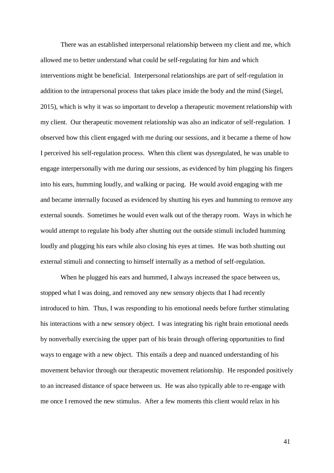There was an established interpersonal relationship between my client and me, which allowed me to better understand what could be self-regulating for him and which interventions might be beneficial. Interpersonal relationships are part of self-regulation in addition to the intrapersonal process that takes place inside the body and the mind (Siegel, 2015), which is why it was so important to develop a therapeutic movement relationship with my client. Our therapeutic movement relationship was also an indicator of self-regulation. I observed how this client engaged with me during our sessions, and it became a theme of how I perceived his self-regulation process. When this client was dysregulated, he was unable to engage interpersonally with me during our sessions, as evidenced by him plugging his fingers into his ears, humming loudly, and walking or pacing. He would avoid engaging with me and became internally focused as evidenced by shutting his eyes and humming to remove any external sounds. Sometimes he would even walk out of the therapy room. Ways in which he would attempt to regulate his body after shutting out the outside stimuli included humming loudly and plugging his ears while also closing his eyes at times. He was both shutting out external stimuli and connecting to himself internally as a method of self-regulation.

When he plugged his ears and hummed, I always increased the space between us, stopped what I was doing, and removed any new sensory objects that I had recently introduced to him. Thus, I was responding to his emotional needs before further stimulating his interactions with a new sensory object. I was integrating his right brain emotional needs by nonverbally exercising the upper part of his brain through offering opportunities to find ways to engage with a new object. This entails a deep and nuanced understanding of his movement behavior through our therapeutic movement relationship. He responded positively to an increased distance of space between us. He was also typically able to re-engage with me once I removed the new stimulus. After a few moments this client would relax in his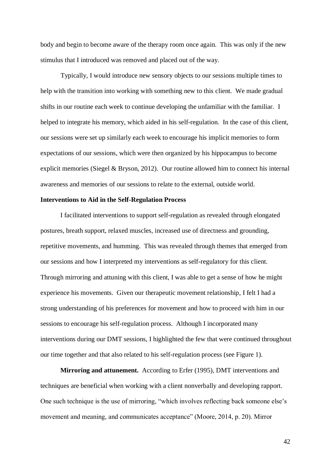body and begin to become aware of the therapy room once again. This was only if the new stimulus that I introduced was removed and placed out of the way.

Typically, I would introduce new sensory objects to our sessions multiple times to help with the transition into working with something new to this client. We made gradual shifts in our routine each week to continue developing the unfamiliar with the familiar. I helped to integrate his memory, which aided in his self-regulation. In the case of this client, our sessions were set up similarly each week to encourage his implicit memories to form expectations of our sessions, which were then organized by his hippocampus to become explicit memories (Siegel & Bryson, 2012). Our routine allowed him to connect his internal awareness and memories of our sessions to relate to the external, outside world.

### **Interventions to Aid in the Self-Regulation Process**

I facilitated interventions to support self-regulation as revealed through elongated postures, breath support, relaxed muscles, increased use of directness and grounding, repetitive movements, and humming. This was revealed through themes that emerged from our sessions and how I interpreted my interventions as self-regulatory for this client. Through mirroring and attuning with this client, I was able to get a sense of how he might experience his movements. Given our therapeutic movement relationship, I felt I had a strong understanding of his preferences for movement and how to proceed with him in our sessions to encourage his self-regulation process. Although I incorporated many interventions during our DMT sessions, I highlighted the few that were continued throughout our time together and that also related to his self-regulation process (see Figure 1).

**Mirroring and attunement.** According to Erfer (1995), DMT interventions and techniques are beneficial when working with a client nonverbally and developing rapport. One such technique is the use of mirroring, "which involves reflecting back someone else's movement and meaning, and communicates acceptance" (Moore, 2014, p. 20). Mirror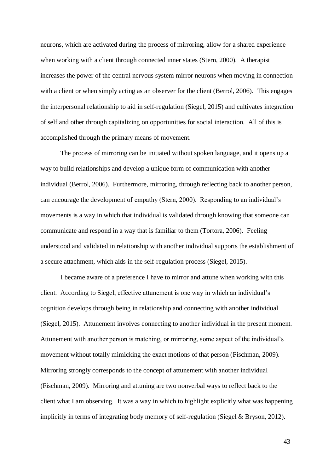neurons, which are activated during the process of mirroring, allow for a shared experience when working with a client through connected inner states (Stern, 2000). A therapist increases the power of the central nervous system mirror neurons when moving in connection with a client or when simply acting as an observer for the client (Berrol, 2006). This engages the interpersonal relationship to aid in self-regulation (Siegel, 2015) and cultivates integration of self and other through capitalizing on opportunities for social interaction. All of this is accomplished through the primary means of movement.

The process of mirroring can be initiated without spoken language, and it opens up a way to build relationships and develop a unique form of communication with another individual (Berrol, 2006). Furthermore, mirroring, through reflecting back to another person, can encourage the development of empathy (Stern, 2000). Responding to an individual's movements is a way in which that individual is validated through knowing that someone can communicate and respond in a way that is familiar to them (Tortora, 2006). Feeling understood and validated in relationship with another individual supports the establishment of a secure attachment, which aids in the self-regulation process (Siegel, 2015).

I became aware of a preference I have to mirror and attune when working with this client. According to Siegel, effective attunement is one way in which an individual's cognition develops through being in relationship and connecting with another individual (Siegel, 2015). Attunement involves connecting to another individual in the present moment. Attunement with another person is matching, or mirroring, some aspect of the individual's movement without totally mimicking the exact motions of that person (Fischman, 2009). Mirroring strongly corresponds to the concept of attunement with another individual (Fischman, 2009). Mirroring and attuning are two nonverbal ways to reflect back to the client what I am observing. It was a way in which to highlight explicitly what was happening implicitly in terms of integrating body memory of self-regulation (Siegel & Bryson, 2012).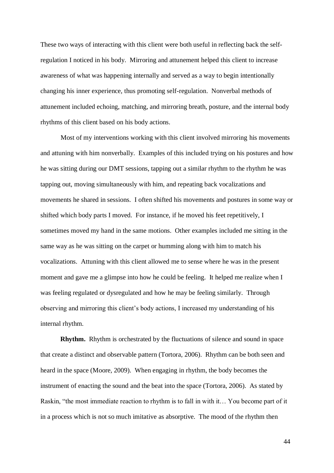These two ways of interacting with this client were both useful in reflecting back the selfregulation I noticed in his body. Mirroring and attunement helped this client to increase awareness of what was happening internally and served as a way to begin intentionally changing his inner experience, thus promoting self-regulation. Nonverbal methods of attunement included echoing, matching, and mirroring breath, posture, and the internal body rhythms of this client based on his body actions.

Most of my interventions working with this client involved mirroring his movements and attuning with him nonverbally. Examples of this included trying on his postures and how he was sitting during our DMT sessions, tapping out a similar rhythm to the rhythm he was tapping out, moving simultaneously with him, and repeating back vocalizations and movements he shared in sessions. I often shifted his movements and postures in some way or shifted which body parts I moved. For instance, if he moved his feet repetitively, I sometimes moved my hand in the same motions. Other examples included me sitting in the same way as he was sitting on the carpet or humming along with him to match his vocalizations. Attuning with this client allowed me to sense where he was in the present moment and gave me a glimpse into how he could be feeling. It helped me realize when I was feeling regulated or dysregulated and how he may be feeling similarly. Through observing and mirroring this client's body actions, I increased my understanding of his internal rhythm.

**Rhythm.** Rhythm is orchestrated by the fluctuations of silence and sound in space that create a distinct and observable pattern (Tortora, 2006). Rhythm can be both seen and heard in the space (Moore, 2009). When engaging in rhythm, the body becomes the instrument of enacting the sound and the beat into the space (Tortora, 2006). As stated by Raskin, "the most immediate reaction to rhythm is to fall in with it… You become part of it in a process which is not so much imitative as absorptive. The mood of the rhythm then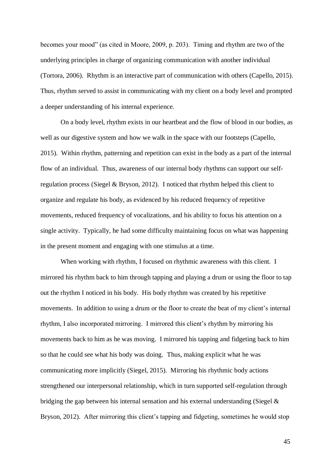becomes your mood" (as cited in Moore, 2009, p. 203). Timing and rhythm are two of the underlying principles in charge of organizing communication with another individual (Tortora, 2006). Rhythm is an interactive part of communication with others (Capello, 2015). Thus, rhythm served to assist in communicating with my client on a body level and prompted a deeper understanding of his internal experience.

On a body level, rhythm exists in our heartbeat and the flow of blood in our bodies, as well as our digestive system and how we walk in the space with our footsteps (Capello, 2015). Within rhythm, patterning and repetition can exist in the body as a part of the internal flow of an individual. Thus, awareness of our internal body rhythms can support our selfregulation process (Siegel & Bryson, 2012). I noticed that rhythm helped this client to organize and regulate his body, as evidenced by his reduced frequency of repetitive movements, reduced frequency of vocalizations, and his ability to focus his attention on a single activity. Typically, he had some difficulty maintaining focus on what was happening in the present moment and engaging with one stimulus at a time.

When working with rhythm, I focused on rhythmic awareness with this client. I mirrored his rhythm back to him through tapping and playing a drum or using the floor to tap out the rhythm I noticed in his body. His body rhythm was created by his repetitive movements. In addition to using a drum or the floor to create the beat of my client's internal rhythm, I also incorporated mirroring. I mirrored this client's rhythm by mirroring his movements back to him as he was moving. I mirrored his tapping and fidgeting back to him so that he could see what his body was doing. Thus, making explicit what he was communicating more implicitly (Siegel, 2015). Mirroring his rhythmic body actions strengthened our interpersonal relationship, which in turn supported self-regulation through bridging the gap between his internal sensation and his external understanding (Siegel  $\&$ Bryson, 2012). After mirroring this client's tapping and fidgeting, sometimes he would stop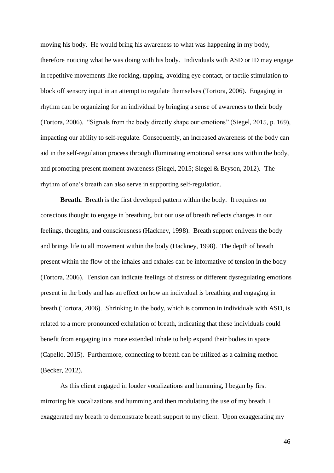moving his body. He would bring his awareness to what was happening in my body, therefore noticing what he was doing with his body. Individuals with ASD or ID may engage in repetitive movements like rocking, tapping, avoiding eye contact, or tactile stimulation to block off sensory input in an attempt to regulate themselves (Tortora, 2006). Engaging in rhythm can be organizing for an individual by bringing a sense of awareness to their body (Tortora, 2006). "Signals from the body directly shape our emotions" (Siegel, 2015, p. 169), impacting our ability to self-regulate. Consequently, an increased awareness of the body can aid in the self-regulation process through illuminating emotional sensations within the body, and promoting present moment awareness (Siegel, 2015; Siegel & Bryson, 2012). The rhythm of one's breath can also serve in supporting self-regulation.

**Breath.** Breath is the first developed pattern within the body. It requires no conscious thought to engage in breathing, but our use of breath reflects changes in our feelings, thoughts, and consciousness (Hackney, 1998). Breath support enlivens the body and brings life to all movement within the body (Hackney, 1998). The depth of breath present within the flow of the inhales and exhales can be informative of tension in the body (Tortora, 2006). Tension can indicate feelings of distress or different dysregulating emotions present in the body and has an effect on how an individual is breathing and engaging in breath (Tortora, 2006). Shrinking in the body, which is common in individuals with ASD, is related to a more pronounced exhalation of breath, indicating that these individuals could benefit from engaging in a more extended inhale to help expand their bodies in space (Capello, 2015). Furthermore, connecting to breath can be utilized as a calming method (Becker, 2012).

As this client engaged in louder vocalizations and humming, I began by first mirroring his vocalizations and humming and then modulating the use of my breath. I exaggerated my breath to demonstrate breath support to my client. Upon exaggerating my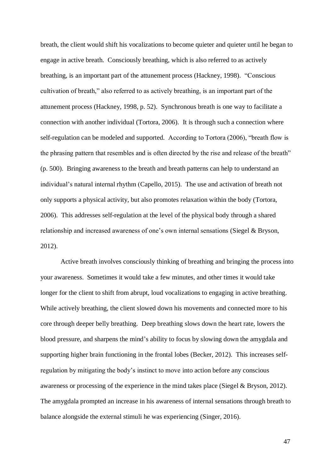breath, the client would shift his vocalizations to become quieter and quieter until he began to engage in active breath. Consciously breathing, which is also referred to as actively breathing, is an important part of the attunement process (Hackney, 1998). "Conscious cultivation of breath," also referred to as actively breathing, is an important part of the attunement process (Hackney, 1998, p. 52). Synchronous breath is one way to facilitate a connection with another individual (Tortora, 2006). It is through such a connection where self-regulation can be modeled and supported. According to Tortora (2006), "breath flow is the phrasing pattern that resembles and is often directed by the rise and release of the breath" (p. 500). Bringing awareness to the breath and breath patterns can help to understand an individual's natural internal rhythm (Capello, 2015). The use and activation of breath not only supports a physical activity, but also promotes relaxation within the body (Tortora, 2006). This addresses self-regulation at the level of the physical body through a shared relationship and increased awareness of one's own internal sensations (Siegel & Bryson, 2012).

Active breath involves consciously thinking of breathing and bringing the process into your awareness. Sometimes it would take a few minutes, and other times it would take longer for the client to shift from abrupt, loud vocalizations to engaging in active breathing. While actively breathing, the client slowed down his movements and connected more to his core through deeper belly breathing. Deep breathing slows down the heart rate, lowers the blood pressure, and sharpens the mind's ability to focus by slowing down the amygdala and supporting higher brain functioning in the frontal lobes (Becker, 2012). This increases selfregulation by mitigating the body's instinct to move into action before any conscious awareness or processing of the experience in the mind takes place (Siegel & Bryson, 2012). The amygdala prompted an increase in his awareness of internal sensations through breath to balance alongside the external stimuli he was experiencing (Singer, 2016).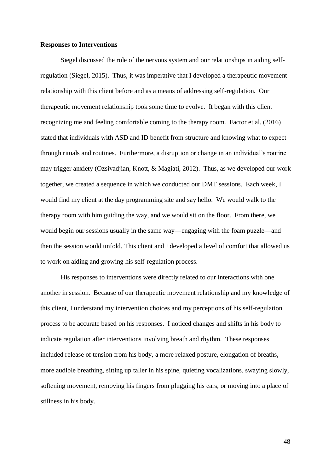#### **Responses to Interventions**

Siegel discussed the role of the nervous system and our relationships in aiding selfregulation (Siegel, 2015). Thus, it was imperative that I developed a therapeutic movement relationship with this client before and as a means of addressing self-regulation. Our therapeutic movement relationship took some time to evolve. It began with this client recognizing me and feeling comfortable coming to the therapy room. Factor et al. (2016) stated that individuals with ASD and ID benefit from structure and knowing what to expect through rituals and routines. Furthermore, a disruption or change in an individual's routine may trigger anxiety (Ozsivadjian, Knott, & Magiati, 2012). Thus, as we developed our work together, we created a sequence in which we conducted our DMT sessions. Each week, I would find my client at the day programming site and say hello. We would walk to the therapy room with him guiding the way, and we would sit on the floor. From there, we would begin our sessions usually in the same way—engaging with the foam puzzle—and then the session would unfold. This client and I developed a level of comfort that allowed us to work on aiding and growing his self-regulation process.

His responses to interventions were directly related to our interactions with one another in session. Because of our therapeutic movement relationship and my knowledge of this client, I understand my intervention choices and my perceptions of his self-regulation process to be accurate based on his responses. I noticed changes and shifts in his body to indicate regulation after interventions involving breath and rhythm. These responses included release of tension from his body, a more relaxed posture, elongation of breaths, more audible breathing, sitting up taller in his spine, quieting vocalizations, swaying slowly, softening movement, removing his fingers from plugging his ears, or moving into a place of stillness in his body.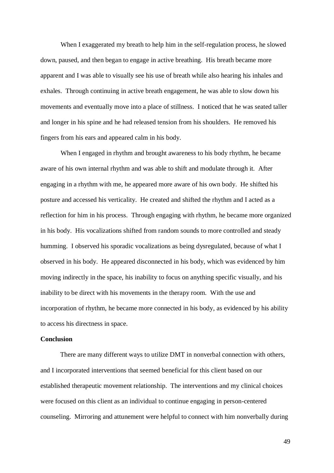When I exaggerated my breath to help him in the self-regulation process, he slowed down, paused, and then began to engage in active breathing. His breath became more apparent and I was able to visually see his use of breath while also hearing his inhales and exhales. Through continuing in active breath engagement, he was able to slow down his movements and eventually move into a place of stillness. I noticed that he was seated taller and longer in his spine and he had released tension from his shoulders. He removed his fingers from his ears and appeared calm in his body.

When I engaged in rhythm and brought awareness to his body rhythm, he became aware of his own internal rhythm and was able to shift and modulate through it. After engaging in a rhythm with me, he appeared more aware of his own body. He shifted his posture and accessed his verticality. He created and shifted the rhythm and I acted as a reflection for him in his process. Through engaging with rhythm, he became more organized in his body. His vocalizations shifted from random sounds to more controlled and steady humming. I observed his sporadic vocalizations as being dysregulated, because of what I observed in his body. He appeared disconnected in his body, which was evidenced by him moving indirectly in the space, his inability to focus on anything specific visually, and his inability to be direct with his movements in the therapy room. With the use and incorporation of rhythm, he became more connected in his body, as evidenced by his ability to access his directness in space.

### **Conclusion**

There are many different ways to utilize DMT in nonverbal connection with others, and I incorporated interventions that seemed beneficial for this client based on our established therapeutic movement relationship. The interventions and my clinical choices were focused on this client as an individual to continue engaging in person-centered counseling. Mirroring and attunement were helpful to connect with him nonverbally during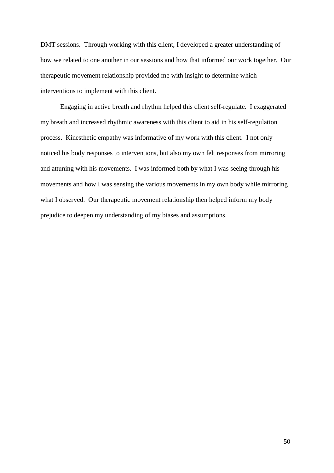DMT sessions. Through working with this client, I developed a greater understanding of how we related to one another in our sessions and how that informed our work together. Our therapeutic movement relationship provided me with insight to determine which interventions to implement with this client.

Engaging in active breath and rhythm helped this client self-regulate. I exaggerated my breath and increased rhythmic awareness with this client to aid in his self-regulation process. Kinesthetic empathy was informative of my work with this client. I not only noticed his body responses to interventions, but also my own felt responses from mirroring and attuning with his movements. I was informed both by what I was seeing through his movements and how I was sensing the various movements in my own body while mirroring what I observed. Our therapeutic movement relationship then helped inform my body prejudice to deepen my understanding of my biases and assumptions.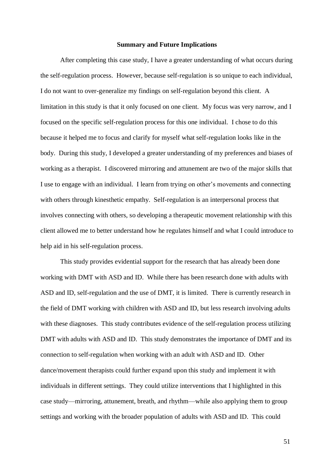#### **Summary and Future Implications**

After completing this case study, I have a greater understanding of what occurs during the self-regulation process. However, because self-regulation is so unique to each individual, I do not want to over-generalize my findings on self-regulation beyond this client. A limitation in this study is that it only focused on one client. My focus was very narrow, and I focused on the specific self-regulation process for this one individual. I chose to do this because it helped me to focus and clarify for myself what self-regulation looks like in the body. During this study, I developed a greater understanding of my preferences and biases of working as a therapist. I discovered mirroring and attunement are two of the major skills that I use to engage with an individual. I learn from trying on other's movements and connecting with others through kinesthetic empathy. Self-regulation is an interpersonal process that involves connecting with others, so developing a therapeutic movement relationship with this client allowed me to better understand how he regulates himself and what I could introduce to help aid in his self-regulation process.

This study provides evidential support for the research that has already been done working with DMT with ASD and ID. While there has been research done with adults with ASD and ID, self-regulation and the use of DMT, it is limited. There is currently research in the field of DMT working with children with ASD and ID, but less research involving adults with these diagnoses. This study contributes evidence of the self-regulation process utilizing DMT with adults with ASD and ID. This study demonstrates the importance of DMT and its connection to self-regulation when working with an adult with ASD and ID. Other dance/movement therapists could further expand upon this study and implement it with individuals in different settings. They could utilize interventions that I highlighted in this case study—mirroring, attunement, breath, and rhythm—while also applying them to group settings and working with the broader population of adults with ASD and ID. This could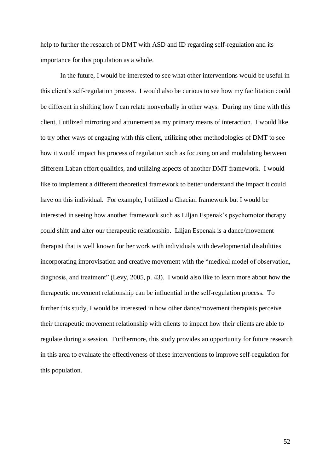help to further the research of DMT with ASD and ID regarding self-regulation and its importance for this population as a whole.

In the future, I would be interested to see what other interventions would be useful in this client's self-regulation process. I would also be curious to see how my facilitation could be different in shifting how I can relate nonverbally in other ways. During my time with this client, I utilized mirroring and attunement as my primary means of interaction. I would like to try other ways of engaging with this client, utilizing other methodologies of DMT to see how it would impact his process of regulation such as focusing on and modulating between different Laban effort qualities, and utilizing aspects of another DMT framework. I would like to implement a different theoretical framework to better understand the impact it could have on this individual. For example, I utilized a Chacian framework but I would be interested in seeing how another framework such as Liljan Espenak's psychomotor therapy could shift and alter our therapeutic relationship. Liljan Espenak is a dance/movement therapist that is well known for her work with individuals with developmental disabilities incorporating improvisation and creative movement with the "medical model of observation, diagnosis, and treatment" (Levy, 2005, p. 43). I would also like to learn more about how the therapeutic movement relationship can be influential in the self-regulation process. To further this study, I would be interested in how other dance/movement therapists perceive their therapeutic movement relationship with clients to impact how their clients are able to regulate during a session. Furthermore, this study provides an opportunity for future research in this area to evaluate the effectiveness of these interventions to improve self-regulation for this population.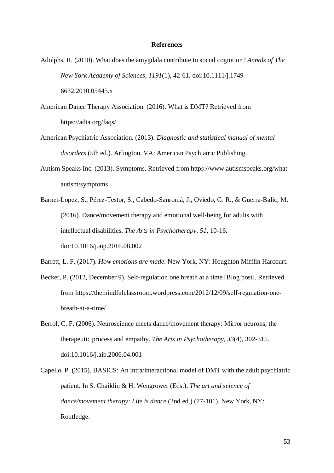### **References**

- Adolphs, R. (2010). What does the amygdala contribute to social cognition? *Annals of The New York Academy of Sciences*, *1191*(1), 42-61. doi:10.1111/j.1749- 6632.2010.05445.x
- American Dance Therapy Association. (2016). What is DMT? Retrieved from https://adta.org/faqs/
- American Psychiatric Association. (2013). *Diagnostic and statistical manual of mental disorders* (5th ed.). Arlington, VA: American Psychiatric Publishing.
- Autism Speaks Inc. (2013). Symptoms. Retrieved from https://www.autismspeaks.org/whatautism/symptoms
- Barnet-Lopez, S., Pérez-Testor, S., Cabedo-Sanromà, J., Oviedo, G. R., & Guerra-Balic, M. (2016). Dance/movement therapy and emotional well-being for adults with intellectual disabilities. *The Arts in Psychotherapy*, *51*, 10-16. doi:10.1016/j.aip.2016.08.002
- Barrett, L. F. (2017). *How emotions are made*. New York, NY: Houghton Mifflin Harcourt.
- Becker, P. (2012, December 9). Self-regulation one breath at a time [Blog post]. Retrieved from https://themindfulclassroom.wordpress.com/2012/12/09/self-regulation-onebreath-at-a-time/
- Berrol, C. F. (2006). Neuroscience meets dance/movement therapy: Mirror neurons, the therapeutic process and empathy. *The Arts in Psychotherapy*, *33*(4), 302-315. doi:10.1016/j.aip.2006.04.001
- Capello, P. (2015). BASICS: An intra/interactional model of DMT with the adult psychiatric patient. In S. Chaiklin & H. Wengrower (Eds.), *The art and science of dance/movement therapy: Life is dance* (2nd ed.) (77-101). New York, NY: Routledge.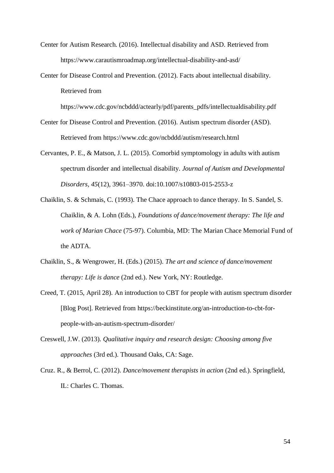- Center for Autism Research. (2016). Intellectual disability and ASD. Retrieved from https://www.carautismroadmap.org/intellectual-disability-and-asd/
- Center for Disease Control and Prevention. (2012). Facts about intellectual disability. Retrieved from

https://www.cdc.gov/ncbddd/actearly/pdf/parents\_pdfs/intellectualdisability.pdf

- Center for Disease Control and Prevention. (2016). Autism spectrum disorder (ASD). Retrieved from https://www.cdc.gov/ncbddd/autism/research.html
- Cervantes, P. E., & Matson, J. L. (2015). Comorbid symptomology in adults with autism spectrum disorder and intellectual disability. *Journal of Autism and Developmental Disorders, 45*(12), 3961–3970. doi:10.1007/s10803-015-2553-z
- Chaiklin, S. & Schmais, C. (1993). The Chace approach to dance therapy. In S. Sandel, S. Chaiklin, & A. Lohn (Eds.), *Foundations of dance/movement therapy: The life and work of Marian Chace* (75-97). Columbia, MD: The Marian Chace Memorial Fund of the ADTA.
- Chaiklin, S., & Wengrower, H. (Eds.) (2015). *The art and science of dance/movement therapy: Life is dance* (2nd ed.). New York, NY: Routledge.
- Creed, T. (2015, April 28). An introduction to CBT for people with autism spectrum disorder [Blog Post]. Retrieved from https://beckinstitute.org/an-introduction-to-cbt-forpeople-with-an-autism-spectrum-disorder/
- Creswell, J.W. (2013). *Qualitative inquiry and research design: Choosing among five approaches* (3rd ed.). Thousand Oaks, CA: Sage.
- Cruz. R., & Berrol, C. (2012). *Dance/movement therapists in action* (2nd ed.). Springfield, IL: Charles C. Thomas.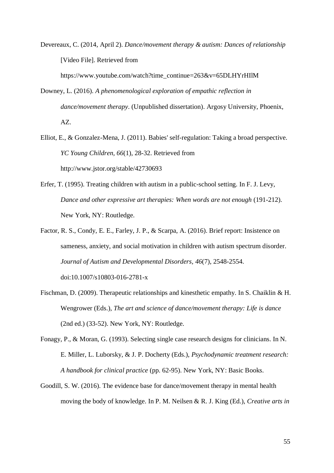Devereaux, C. (2014, April 2). *Dance/movement therapy & autism: Dances of relationship* [Video File]. Retrieved from

https://www.youtube.com/watch?time\_continue=263&v=65DLHYrHIIM

- Downey, L. (2016). *A phenomenological exploration of empathic reflection in dance/movement therapy*. (Unpublished dissertation). Argosy University, Phoenix, AZ.
- Elliot, E., & Gonzalez-Mena, J. (2011). Babies' self-regulation: Taking a broad perspective. *YC Young Children, 66*(1), 28-32. Retrieved from http://www.jstor.org/stable/42730693
- Erfer, T. (1995). Treating children with autism in a public-school setting. In F. J. Levy, *Dance and other expressive art therapies: When words are not enough* (191-212). New York, NY: Routledge.
- Factor, R. S., Condy, E. E., Farley, J. P., & Scarpa, A. (2016). Brief report: Insistence on sameness, anxiety, and social motivation in children with autism spectrum disorder. *Journal of Autism and Developmental Disorders, 46*(7), 2548-2554. doi:10.1007/s10803-016-2781-x
- Fischman, D. (2009). Therapeutic relationships and kinesthetic empathy. In S. Chaiklin & H. Wengrower (Eds.), *The art and science of dance/movement therapy: Life is dance* (2nd ed.) (33-52). New York, NY: Routledge.
- Fonagy, P., & Moran, G. (1993). Selecting single case research designs for clinicians. In N. E. Miller, L. Luborsky, & J. P. Docherty (Eds.), *Psychodynamic treatment research: A handbook for clinical practice* (pp. 62-95). New York, NY: Basic Books.
- Goodill, S. W. (2016). The evidence base for dance/movement therapy in mental health moving the body of knowledge. In P. M. Neilsen & R. J. King (Ed.), *Creative arts in*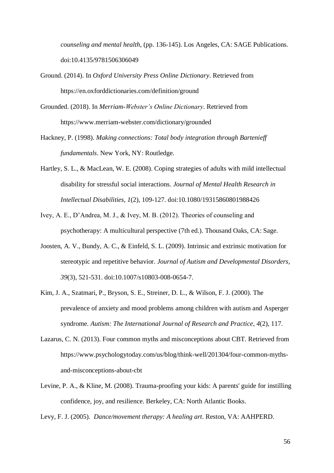*counseling and mental health*, (pp. 136-145). Los Angeles, CA: SAGE Publications. doi:10.4135/9781506306049

- Ground. (2014). In *Oxford University Press Online Dictionary*. Retrieved from https://en.oxforddictionaries.com/definition/ground
- Grounded. (2018). In *Merriam-Webster's Online Dictionary*. Retrieved from https://www.merriam-webster.com/dictionary/grounded
- Hackney, P. (1998). *Making connections: Total body integration through Bartenieff fundamentals*. New York, NY: Routledge.
- Hartley, S. L., & MacLean, W. E. (2008). Coping strategies of adults with mild intellectual disability for stressful social interactions. *Journal of Mental Health Research in Intellectual Disabilities*, *1*(2), 109-127. doi:10.1080/19315860801988426
- Ivey, A. E., D'Andrea, M. J., & Ivey, M. B. (2012). Theories of counseling and psychotherapy: A multicultural perspective (7th ed.). Thousand Oaks, CA: Sage.
- Joosten, A. V., Bundy, A. C., & Einfeld, S. L. (2009). Intrinsic and extrinsic motivation for stereotypic and repetitive behavior. *Journal of Autism and Developmental Disorders, 39*(3), 521-531. doi:10.1007/s10803-008-0654-7.
- Kim, J. A., Szatmari, P., Bryson, S. E., Streiner, D. L., & Wilson, F. J. (2000). The prevalence of anxiety and mood problems among children with autism and Asperger syndrome. *Autism: The International Journal of Research and Practice*, *4*(2), 117.
- Lazarus, C. N. (2013). Four common myths and misconceptions about CBT. Retrieved from https://www.psychologytoday.com/us/blog/think-well/201304/four-common-mythsand-misconceptions-about-cbt
- Levine, P. A., & Kline, M. (2008). Trauma-proofing your kids: A parents' guide for instilling confidence, joy, and resilience. Berkeley, CA: North Atlantic Books.

Levy, F. J. (2005). *Dance/movement therapy: A healing art*. Reston, VA: AAHPERD.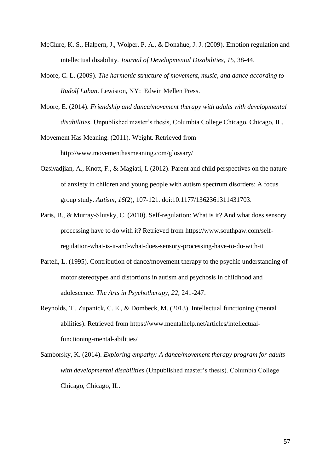- McClure, K. S., Halpern, J., Wolper, P. A., & Donahue, J. J. (2009). Emotion regulation and intellectual disability. *Journal of Developmental Disabilities*, *15*, 38-44.
- Moore, C. L. (2009). *The harmonic structure of movement, music, and dance according to Rudolf Laban*. Lewiston, NY: Edwin Mellen Press.
- Moore, E. (2014). *Friendship and dance/movement therapy with adults with developmental disabilities*. Unpublished master's thesis, Columbia College Chicago, Chicago, IL.

Movement Has Meaning. (2011). Weight. Retrieved from http://www.movementhasmeaning.com/glossary/

- Ozsivadjian, A., Knott, F., & Magiati, I. (2012). Parent and child perspectives on the nature of anxiety in children and young people with autism spectrum disorders: A focus group study. *Autism*, *16*(2), 107-121. doi:10.1177/1362361311431703.
- Paris, B., & Murray-Slutsky, C. (2010). Self-regulation: What is it? And what does sensory processing have to do with it? Retrieved from https://www.southpaw.com/selfregulation-what-is-it-and-what-does-sensory-processing-have-to-do-with-it
- Parteli, L. (1995). Contribution of dance/movement therapy to the psychic understanding of motor stereotypes and distortions in autism and psychosis in childhood and adolescence. *The Arts in Psychotherapy, 22*, 241-247.
- Reynolds, T., Zupanick, C. E., & Dombeck, M. (2013). Intellectual functioning (mental abilities). Retrieved from https://www.mentalhelp.net/articles/intellectualfunctioning-mental-abilities/
- Samborsky, K. (2014). *Exploring empathy: A dance/movement therapy program for adults with developmental disabilities* (Unpublished master's thesis). Columbia College Chicago, Chicago, IL.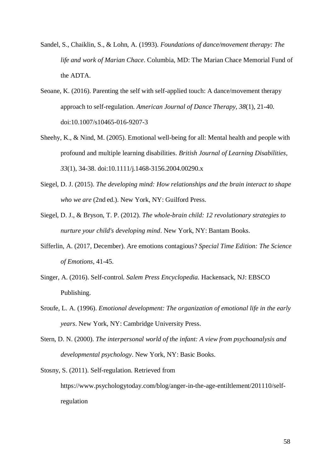- Sandel, S., Chaiklin, S., & Lohn, A. (1993). *Foundations of dance/movement therapy: The life and work of Marian Chace*. Columbia, MD: The Marian Chace Memorial Fund of the ADTA.
- Seoane, K. (2016). Parenting the self with self-applied touch: A dance/movement therapy approach to self-regulation. *American Journal of Dance Therapy, 38*(1), 21-40. doi:10.1007/s10465-016-9207-3
- Sheehy, K., & Nind, M. (2005). Emotional well-being for all: Mental health and people with profound and multiple learning disabilities. *British Journal of Learning Disabilities*, *33*(1), 34-38. doi:10.1111/j.1468-3156.2004.00290.x
- Siegel, D. J. (2015). *The developing mind: How relationships and the brain interact to shape who we are* (2nd ed.). New York, NY: Guilford Press.
- Siegel, D. J., & Bryson, T. P. (2012). *The whole-brain child: 12 revolutionary strategies to nurture your child's developing mind*. New York, NY: Bantam Books.
- Sifferlin, A. (2017, December). Are emotions contagious? *Special Time Edition: The Science of Emotions*, 41-45.
- Singer, A. (2016). Self-control. *Salem Press Encyclopedia.* Hackensack, NJ: EBSCO Publishing.
- Sroufe, L. A. (1996). *Emotional development: The organization of emotional life in the early years*. New York, NY: Cambridge University Press.
- Stern, D. N. (2000). *The interpersonal world of the infant: A view from psychoanalysis and developmental psychology*. New York, NY: Basic Books.

Stosny, S. (2011). Self-regulation. Retrieved from https://www.psychologytoday.com/blog/anger-in-the-age-entiltlement/201110/selfregulation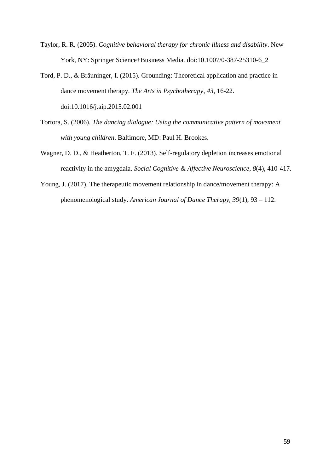- Taylor, R. R. (2005). *Cognitive behavioral therapy for chronic illness and disability*. New York, NY: Springer Science+Business Media. doi:10.1007/0-387-25310-6\_2
- Tord, P. D., & Bräuninger, I. (2015). Grounding: Theoretical application and practice in dance movement therapy. *The Arts in Psychotherapy*, *43*, 16-22. doi:10.1016/j.aip.2015.02.001
- Tortora, S. (2006). *The dancing dialogue: Using the communicative pattern of movement with young children*. Baltimore, MD: Paul H. Brookes.
- Wagner, D. D., & Heatherton, T. F. (2013). Self-regulatory depletion increases emotional reactivity in the amygdala. *Social Cognitive & Affective Neuroscience*, *8*(4), 410-417.
- Young, J. (2017). The therapeutic movement relationship in dance/movement therapy: A phenomenological study. *American Journal of Dance Therapy, 39*(1), 93 – 112.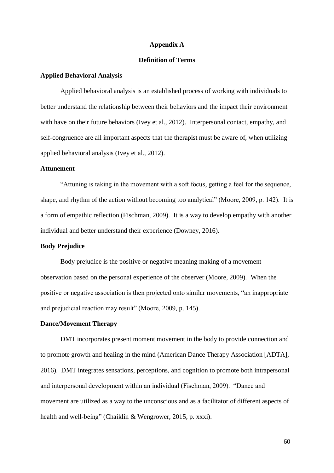### **Appendix A**

### **Definition of Terms**

#### **Applied Behavioral Analysis**

Applied behavioral analysis is an established process of working with individuals to better understand the relationship between their behaviors and the impact their environment with have on their future behaviors (Ivey et al., 2012). Interpersonal contact, empathy, and self-congruence are all important aspects that the therapist must be aware of, when utilizing applied behavioral analysis (Ivey et al., 2012).

### **Attunement**

"Attuning is taking in the movement with a soft focus, getting a feel for the sequence, shape, and rhythm of the action without becoming too analytical" (Moore, 2009, p. 142). It is a form of empathic reflection (Fischman, 2009). It is a way to develop empathy with another individual and better understand their experience (Downey, 2016).

### **Body Prejudice**

Body prejudice is the positive or negative meaning making of a movement observation based on the personal experience of the observer (Moore, 2009). When the positive or negative association is then projected onto similar movements, "an inappropriate and prejudicial reaction may result" (Moore, 2009, p. 145).

### **Dance/Movement Therapy**

DMT incorporates present moment movement in the body to provide connection and to promote growth and healing in the mind (American Dance Therapy Association [ADTA], 2016). DMT integrates sensations, perceptions, and cognition to promote both intrapersonal and interpersonal development within an individual (Fischman, 2009). "Dance and movement are utilized as a way to the unconscious and as a facilitator of different aspects of health and well-being" (Chaiklin & Wengrower, 2015, p. xxxi).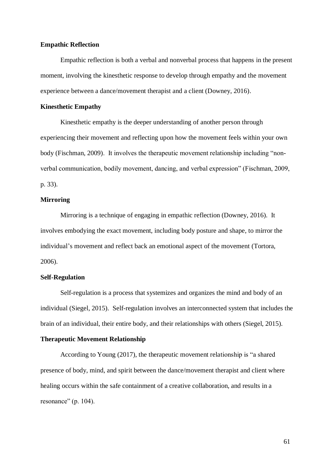### **Empathic Reflection**

Empathic reflection is both a verbal and nonverbal process that happens in the present moment, involving the kinesthetic response to develop through empathy and the movement experience between a dance/movement therapist and a client (Downey, 2016).

#### **Kinesthetic Empathy**

Kinesthetic empathy is the deeper understanding of another person through experiencing their movement and reflecting upon how the movement feels within your own body (Fischman, 2009). It involves the therapeutic movement relationship including "nonverbal communication, bodily movement, dancing, and verbal expression" (Fischman, 2009, p. 33).

### **Mirroring**

Mirroring is a technique of engaging in empathic reflection (Downey, 2016). It involves embodying the exact movement, including body posture and shape, to mirror the individual's movement and reflect back an emotional aspect of the movement (Tortora, 2006).

### **Self-Regulation**

Self-regulation is a process that systemizes and organizes the mind and body of an individual (Siegel, 2015). Self-regulation involves an interconnected system that includes the brain of an individual, their entire body, and their relationships with others (Siegel, 2015).

### **Therapeutic Movement Relationship**

According to Young (2017), the therapeutic movement relationship is "a shared presence of body, mind, and spirit between the dance/movement therapist and client where healing occurs within the safe containment of a creative collaboration, and results in a resonance" (p. 104).